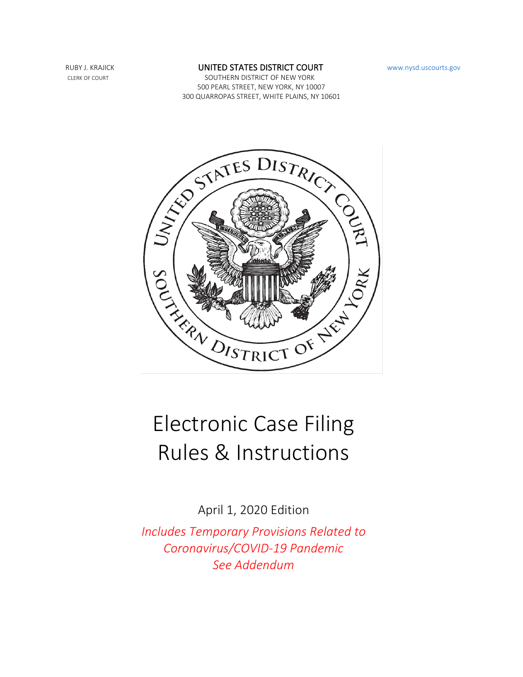#### RUBY J. KRAJICK **EXECUTED STATES DISTRICT COURT** [www.nysd.uscourts.gov](https://www.nysd.uscourts.gov/)

CLERK OF COURT SOUTHERN DISTRICT OF NEW YORK 500 PEARL STREET, NEW YORK, NY 10007 300 QUARROPAS STREET, WHITE PLAINS, NY 10601



# Electronic Case Filing Rules & Instructions

April 1, 2020 Edition

*Includes Temporary Provisions Related to Coronavirus/COVID-19 Pandemic See Addendum*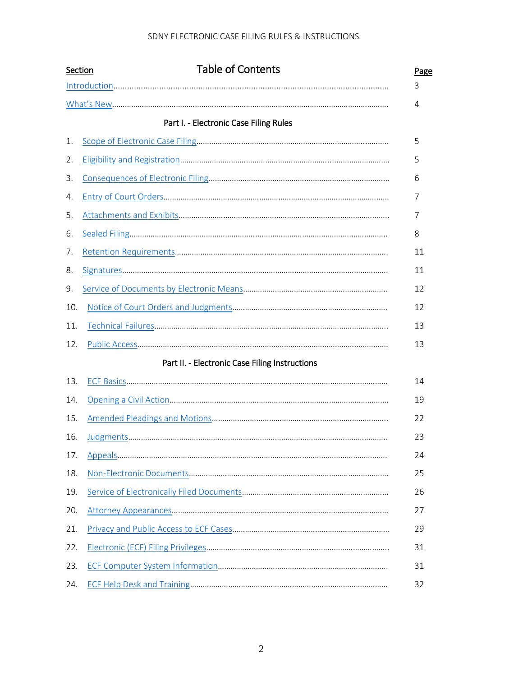|     | <b>Table of Contents</b><br>Section                                                                                                                                                                                                                                                                                                                                                                                                                                                                                                      | Page |
|-----|------------------------------------------------------------------------------------------------------------------------------------------------------------------------------------------------------------------------------------------------------------------------------------------------------------------------------------------------------------------------------------------------------------------------------------------------------------------------------------------------------------------------------------------|------|
|     | $\label{eq:1} \begin{minipage}{0.9\linewidth} \begin{minipage}{0.9\linewidth} \begin{minipage}{0.9\linewidth} \begin{minipage}{0.9\linewidth} \begin{minipage}{0.9\linewidth} \end{minipage} \begin{minipage}{0.9\linewidth} \end{minipage} \begin{minipage}{0.9\linewidth} \begin{minipage}{0.9\linewidth} \end{minipage} \end{minipage} \begin{minipage}{0.9\linewidth} \begin{minipage}{0.9\linewidth} \end{minipage} \end{minipage} \begin{minipage}{0.9\linewidth} \begin{minipage}{0.9\linewidth} \end{minipage} \end{minipage} \$ | 3    |
|     |                                                                                                                                                                                                                                                                                                                                                                                                                                                                                                                                          | 4    |
|     | Part I. - Electronic Case Filing Rules                                                                                                                                                                                                                                                                                                                                                                                                                                                                                                   |      |
| 1.  |                                                                                                                                                                                                                                                                                                                                                                                                                                                                                                                                          | 5    |
| 2.  |                                                                                                                                                                                                                                                                                                                                                                                                                                                                                                                                          | 5    |
| 3.  |                                                                                                                                                                                                                                                                                                                                                                                                                                                                                                                                          | 6    |
| 4.  |                                                                                                                                                                                                                                                                                                                                                                                                                                                                                                                                          | 7    |
| 5.  |                                                                                                                                                                                                                                                                                                                                                                                                                                                                                                                                          | 7    |
| 6.  |                                                                                                                                                                                                                                                                                                                                                                                                                                                                                                                                          | 8    |
| 7.  |                                                                                                                                                                                                                                                                                                                                                                                                                                                                                                                                          | 11   |
| 8.  |                                                                                                                                                                                                                                                                                                                                                                                                                                                                                                                                          | 11   |
| 9.  |                                                                                                                                                                                                                                                                                                                                                                                                                                                                                                                                          | 12   |
| 10. |                                                                                                                                                                                                                                                                                                                                                                                                                                                                                                                                          | 12   |
| 11. |                                                                                                                                                                                                                                                                                                                                                                                                                                                                                                                                          | 13   |
| 12. |                                                                                                                                                                                                                                                                                                                                                                                                                                                                                                                                          | 13   |
|     | Part II. - Electronic Case Filing Instructions                                                                                                                                                                                                                                                                                                                                                                                                                                                                                           |      |
| 13. |                                                                                                                                                                                                                                                                                                                                                                                                                                                                                                                                          | 14   |
| 14. |                                                                                                                                                                                                                                                                                                                                                                                                                                                                                                                                          | 19   |
| 15. |                                                                                                                                                                                                                                                                                                                                                                                                                                                                                                                                          | 22   |
| 16. |                                                                                                                                                                                                                                                                                                                                                                                                                                                                                                                                          | 23   |
| 17. |                                                                                                                                                                                                                                                                                                                                                                                                                                                                                                                                          | 24   |
| 18. |                                                                                                                                                                                                                                                                                                                                                                                                                                                                                                                                          | 25   |
| 19. |                                                                                                                                                                                                                                                                                                                                                                                                                                                                                                                                          | 26   |
| 20. |                                                                                                                                                                                                                                                                                                                                                                                                                                                                                                                                          | 27   |
| 21. |                                                                                                                                                                                                                                                                                                                                                                                                                                                                                                                                          | 29   |
| 22. |                                                                                                                                                                                                                                                                                                                                                                                                                                                                                                                                          | 31   |
| 23. |                                                                                                                                                                                                                                                                                                                                                                                                                                                                                                                                          | 31   |
| 24. |                                                                                                                                                                                                                                                                                                                                                                                                                                                                                                                                          | 32   |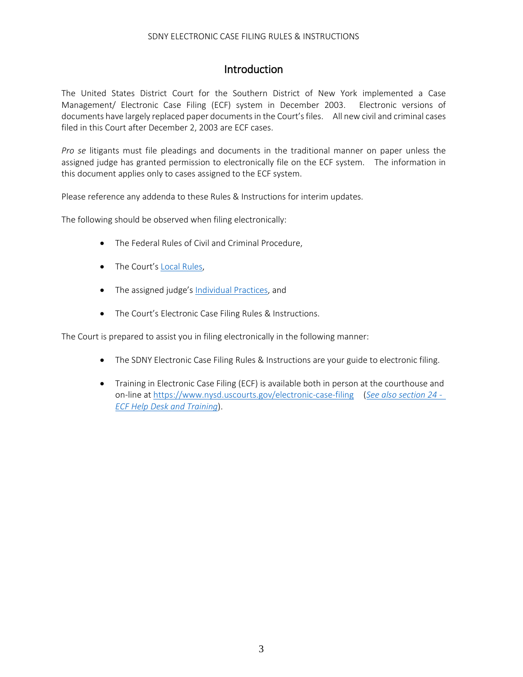# **Introduction**

<span id="page-2-0"></span>The United States District Court for the Southern District of New York implemented a Case Management/ Electronic Case Filing (ECF) system in December 2003. Electronic versions of documents have largely replaced paper documents in the Court'sfiles. All new civil and criminal cases filed in this Court after December 2, 2003 are ECF cases.

*Pro se* litigants must file pleadings and documents in the traditional manner on paper unless the assigned judge has granted permission to electronically file on the ECF system. The information in this document applies only to cases assigned to the ECF system.

Please reference any addenda to these Rules & Instructions for interim updates.

The following should be observed when filing electronically:

- The Federal Rules of Civil and Criminal Procedure,
- The Court's [Local Rules,](https://nysd.uscourts.gov/rules)
- The assigned judge'[s Individual Practices,](https://nysd.uscourts.gov/judges) and
- The Court's Electronic Case Filing Rules & Instructions.

The Court is prepared to assist you in filing electronically in the following manner:

- The SDNY Electronic Case Filing Rules & Instructions are your guide to electronic filing.
- Training in Electronic Case Filing (ECF) is available both in person at the courthouse and on-line a[t https://www.nysd.uscourts.gov/electronic-case-filing](https://www.nysd.uscourts.gov/electronic-case-filing) (*[See also section 24 -](#page-32-0) [ECF Help Desk and Training](#page-32-0)*).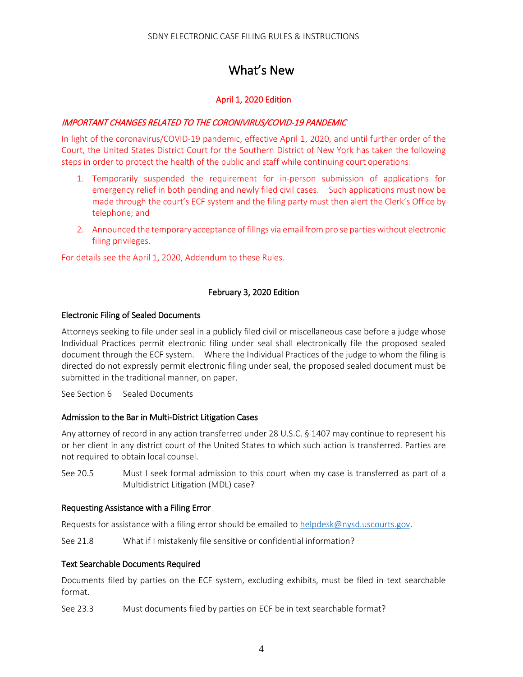# What's New

# April 1, 2020 Edition

## <span id="page-3-0"></span>IMPORTANT CHANGES RELATED TO THE CORONIVIRUS/COVID-19 PANDEMIC

In light of the coronavirus/COVID-19 pandemic, effective April 1, 2020, and until further order of the Court, the United States District Court for the Southern District of New York has taken the following steps in order to protect the health of the public and staff while continuing court operations:

- 1. Temporarily suspended the requirement for in-person submission of applications for emergency relief in both pending and newly filed civil cases. Such applications must now be made through the court's ECF system and the filing party must then alert the Clerk's Office by telephone; and
- 2. Announced the temporary acceptance of filings via email from pro se parties without electronic filing privileges.

For details see the April 1, 2020, Addendum to these Rules.

# February 3, 2020 Edition

#### Electronic Filing of Sealed Documents

Attorneys seeking to file under seal in a publicly filed civil or miscellaneous case before a judge whose Individual Practices permit electronic filing under seal shall electronically file the proposed sealed document through the ECF system. Where the Individual Practices of the judge to whom the filing is directed do not expressly permit electronic filing under seal, the proposed sealed document must be submitted in the traditional manner, on paper.

See Section 6 Sealed Documents

#### Admission to the Bar in Multi-District Litigation Cases

Any attorney of record in any action transferred under 28 U.S.C. § 1407 may continue to represent his or her client in any district court of the United States to which such action is transferred. Parties are not required to obtain local counsel.

See 20.5 Must I seek formal admission to this court when my case is transferred as part of a Multidistrict Litigation (MDL) case?

#### Requesting Assistance with a Filing Error

Requests for assistance with a filing error should be emailed to [helpdesk@nysd.uscourts.gov.](mailto:helpdesk@nysd.uscourts.gov)

See 21.8 What if I mistakenly file sensitive or confidential information?

#### Text Searchable Documents Required

Documents filed by parties on the ECF system, excluding exhibits, must be filed in text searchable format.

See 23.3 Must documents filed by parties on ECF be in text searchable format?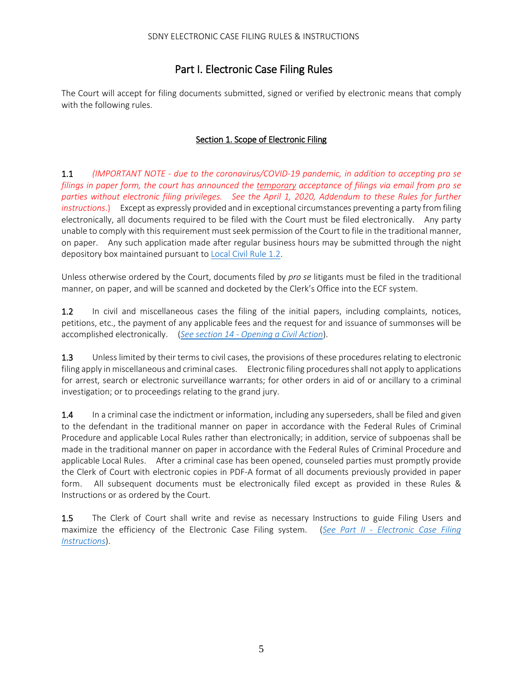# Part I. Electronic Case Filing Rules

The Court will accept for filing documents submitted, signed or verified by electronic means that comply with the following rules.

# Section 1. Scope of Electronic Filing

<span id="page-4-0"></span>1.1 *(IMPORTANT NOTE - due to the coronavirus/COVID-19 pandemic, in addition to accepting pro se filings in paper form, the court has announced the temporary acceptance of filings via email from pro se parties without electronic filing privileges. See the April 1, 2020, Addendum to these Rules for further instructions*.) Except as expressly provided and in exceptional circumstances preventing a party from filing electronically, all documents required to be filed with the Court must be filed electronically. Any party unable to comply with this requirement must seek permission of the Court to file in the traditional manner, on paper. Any such application made after regular business hours may be submitted through the night depository box maintained pursuant to [Local Civil Rule 1.2.](https://nysd.uscourts.gov/rules.php)

Unless otherwise ordered by the Court, documents filed by *pro se* litigants must be filed in the traditional manner, on paper, and will be scanned and docketed by the Clerk's Office into the ECF system.

1.2 In civil and miscellaneous cases the filing of the initial papers, including complaints, notices, petitions, etc., the payment of any applicable fees and the request for and issuance of summonses will be accomplished electronically. (*See section 14 - [Opening a Civil Action](#page-18-0)*).

1.3 Unless limited by their terms to civil cases, the provisions of these procedures relating to electronic filing apply in miscellaneous and criminal cases. Electronic filing procedures shall not apply to applications for arrest, search or electronic surveillance warrants; for other orders in aid of or ancillary to a criminal investigation; or to proceedings relating to the grand jury.

1.4 In a criminal case the indictment or information, including any superseders, shall be filed and given to the defendant in the traditional manner on paper in accordance with the Federal Rules of Criminal Procedure and applicable Local Rules rather than electronically; in addition, service of subpoenas shall be made in the traditional manner on paper in accordance with the Federal Rules of Criminal Procedure and applicable Local Rules. After a criminal case has been opened, counseled parties must promptly provide the Clerk of Court with electronic copies in PDF-A format of all documents previously provided in paper form. All subsequent documents must be electronically filed except as provided in these Rules & Instructions or as ordered by the Court.

1.5 The Clerk of Court shall write and revise as necessary Instructions to guide Filing Users and maximize the efficiency of the Electronic Case Filing system. (*See Part II - [Electronic Case Filing](#page-13-1)  [Instructions](#page-13-1)*).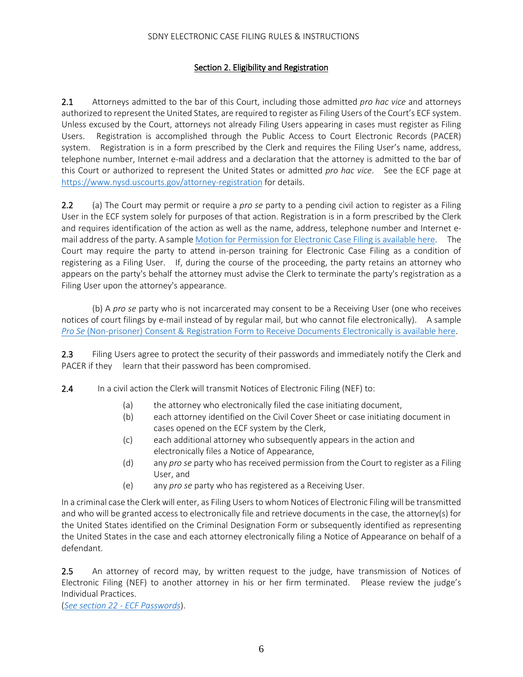#### Section 2. Eligibility and Registration

<span id="page-5-0"></span>2.1 Attorneys admitted to the bar of this Court, including those admitted *pro hac vice* and attorneys authorized to represent the United States, are required to register as Filing Users of the Court's ECF system. Unless excused by the Court, attorneys not already Filing Users appearing in cases must register as Filing Users. Registration is accomplished through the Public Access to Court Electronic Records (PACER) system. Registration is in a form prescribed by the Clerk and requires the Filing User's name, address, telephone number, Internet e-mail address and a declaration that the attorney is admitted to the bar of this Court or authorized to represent the United States or admitted *pro hac vice*. See the ECF page at <https://www.nysd.uscourts.gov/attorney-registration> for details.

 2.2 (a) The Court may permit or require a *pro se* party to a pending civil action to register as a Filing User in the ECF system solely for purposes of that action. Registration is in a form prescribed by the Clerk and requires identification of the action as well as the name, address, telephone number and Internet email address of the party. A sampl[e Motion for Permission for Electronic Case Filing is available here.](https://nysd.uscourts.gov/forms?field_form_category_target_id=22&title=&sort_by=title) The Court may require the party to attend in-person training for Electronic Case Filing as a condition of registering as a Filing User. If, during the course of the proceeding, the party retains an attorney who appears on the party's behalf the attorney must advise the Clerk to terminate the party's registration as a Filing User upon the attorney's appearance.

 (b) A *pro se* party who is not incarcerated may consent to be a Receiving User (one who receives notices of court filings by e-mail instead of by regular mail, but who cannot file electronically). A sample *Pro Se* [\(Non-prisoner\) Consent & Registration Form to Receive Documents Electronically is available here.](https://nysd.uscourts.gov/forms?field_form_category_target_id=22&title=&sort_by=title)

2.3 Filing Users agree to protect the security of their passwords and immediately notify the Clerk and PACER if they learn that their password has been compromised.

2.4 In a civil action the Clerk will transmit Notices of Electronic Filing (NEF) to:

- (a) the attorney who electronically filed the case initiating document,
- (b) each attorney identified on the Civil Cover Sheet or case initiating document in cases opened on the ECF system by the Clerk,
- (c) each additional attorney who subsequently appears in the action and electronically files a Notice of Appearance,
- (d) any *pro se* party who has received permission from the Court to register as a Filing User, and
- (e) any *pro se* party who has registered as a Receiving User.

In a criminal case the Clerk will enter, as Filing Users to whom Notices of Electronic Filing will be transmitted and who will be granted access to electronically file and retrieve documents in the case, the attorney(s) for the United States identified on the Criminal Designation Form or subsequently identified as representing the United States in the case and each attorney electronically filing a Notice of Appearance on behalf of a defendant.

2.5 An attorney of record may, by written request to the judge, have transmission of Notices of Electronic Filing (NEF) to another attorney in his or her firm terminated. Please review the judge's Individual Practices.

(*[See section 22 -](#page-30-0) ECF Passwords*).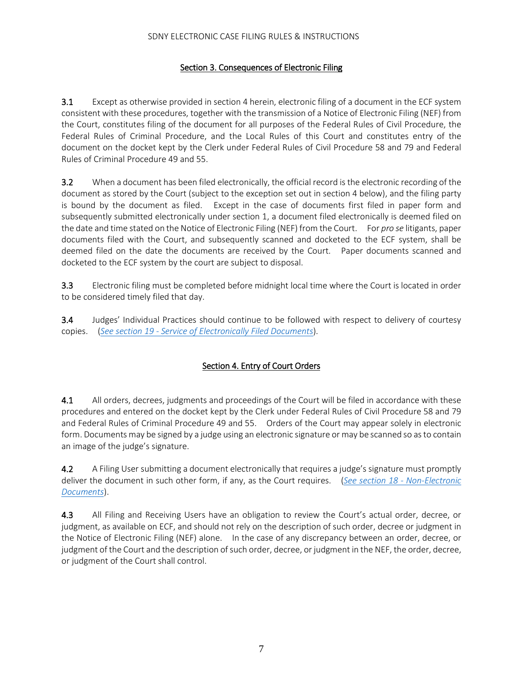# Section 3. Consequences of Electronic Filing

<span id="page-6-0"></span>3.1 Except as otherwise provided in section 4 herein, electronic filing of a document in the ECF system consistent with these procedures, together with the transmission of a Notice of Electronic Filing (NEF) from the Court, constitutes filing of the document for all purposes of the Federal Rules of Civil Procedure, the Federal Rules of Criminal Procedure, and the Local Rules of this Court and constitutes entry of the document on the docket kept by the Clerk under Federal Rules of Civil Procedure 58 and 79 and Federal Rules of Criminal Procedure 49 and 55.

3.2 When a document has been filed electronically, the official record is the electronic recording of the document as stored by the Court (subject to the exception set out in section 4 below), and the filing party is bound by the document as filed. Except in the case of documents first filed in paper form and subsequently submitted electronically under section 1, a document filed electronically is deemed filed on the date and time stated on the Notice of Electronic Filing (NEF) from the Court. For *pro se* litigants, paper documents filed with the Court, and subsequently scanned and docketed to the ECF system, shall be deemed filed on the date the documents are received by the Court. Paper documents scanned and docketed to the ECF system by the court are subject to disposal.

3.3 Electronic filing must be completed before midnight local time where the Court is located in order to be considered timely filed that day.

3.4 Judges' Individual Practices should continue to be followed with respect to delivery of courtesy copies. (*See section 19 - [Service of Electronically Filed Documents](#page-25-0)*).

# Section 4. Entry of Court Orders

<span id="page-6-1"></span>4.1 All orders, decrees, judgments and proceedings of the Court will be filed in accordance with these procedures and entered on the docket kept by the Clerk under Federal Rules of Civil Procedure 58 and 79 and Federal Rules of Criminal Procedure 49 and 55. Orders of the Court may appear solely in electronic form. Documents may be signed by a judge using an electronic signature or may be scanned so as to contain an image of the judge's signature.

4.2 A Filing User submitting a document electronically that requires a judge's signature must promptly deliver the document in such other form, if any, as the Court requires. (*[See section 18 -](#page-24-0) Non-Electronic [Documents](#page-24-0)*).

4.3 All Filing and Receiving Users have an obligation to review the Court's actual order, decree, or judgment, as available on ECF, and should not rely on the description of such order, decree or judgment in the Notice of Electronic Filing (NEF) alone. In the case of any discrepancy between an order, decree, or judgment of the Court and the description of such order, decree, or judgment in the NEF, the order, decree, or judgment of the Court shall control.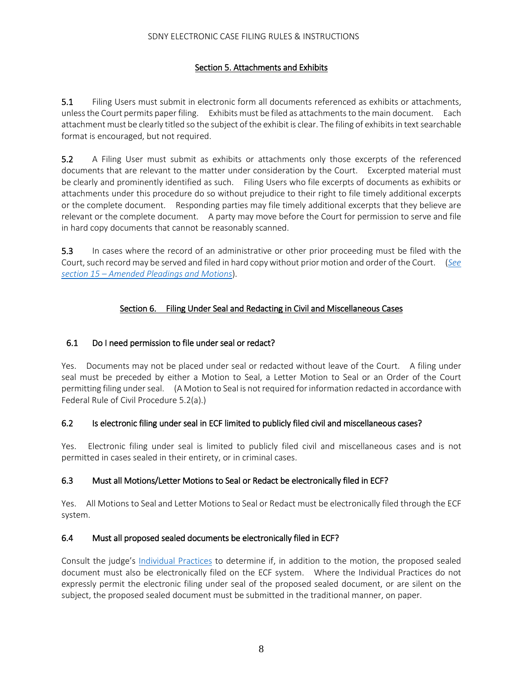# Section 5. Attachments and Exhibits

<span id="page-7-0"></span>5.1 Filing Users must submit in electronic form all documents referenced as exhibits or attachments, unless the Court permits paper filing. Exhibits must be filed as attachments to the main document. Each attachment must be clearly titled so the subject of the exhibit is clear. The filing of exhibits in text searchable format is encouraged, but not required.

5.2 A Filing User must submit as exhibits or attachments only those excerpts of the referenced documents that are relevant to the matter under consideration by the Court. Excerpted material must be clearly and prominently identified as such. Filing Users who file excerpts of documents as exhibits or attachments under this procedure do so without prejudice to their right to file timely additional excerpts or the complete document. Responding parties may file timely additional excerpts that they believe are relevant or the complete document. A party may move before the Court for permission to serve and file in hard copy documents that cannot be reasonably scanned.

5.3 In cases where the record of an administrative or other prior proceeding must be filed with the Court, such record may be served and filed in hard copy without prior motion and order of the Court. (*[See](#page-21-0)  section 15 – [Amended Pleadings and Motions](#page-21-0)*).

# Section 6. Filing Under Seal and Redacting in Civil and Miscellaneous Cases

# <span id="page-7-1"></span>6.1 Do I need permission to file under seal or redact?

Yes. Documents may not be placed under seal or redacted without leave of the Court. A filing under seal must be preceded by either a Motion to Seal, a Letter Motion to Seal or an Order of the Court permitting filing under seal. (A Motion to Seal is not required for information redacted in accordance with Federal Rule of Civil Procedure 5.2(a).)

# 6.2 Is electronic filing under seal in ECF limited to publicly filed civil and miscellaneous cases?

Yes. Electronic filing under seal is limited to publicly filed civil and miscellaneous cases and is not permitted in cases sealed in their entirety, or in criminal cases.

# 6.3 Must all Motions/Letter Motions to Seal or Redact be electronically filed in ECF?

Yes. All Motions to Seal and Letter Motions to Seal or Redact must be electronically filed through the ECF system.

#### 6.4 Must all proposed sealed documents be electronically filed in ECF?

Consult the judge's [Individual Practices](https://nysd.uscourts.gov/judges) to determine if, in addition to the motion, the proposed sealed document must also be electronically filed on the ECF system. Where the Individual Practices do not expressly permit the electronic filing under seal of the proposed sealed document, or are silent on the subject, the proposed sealed document must be submitted in the traditional manner, on paper.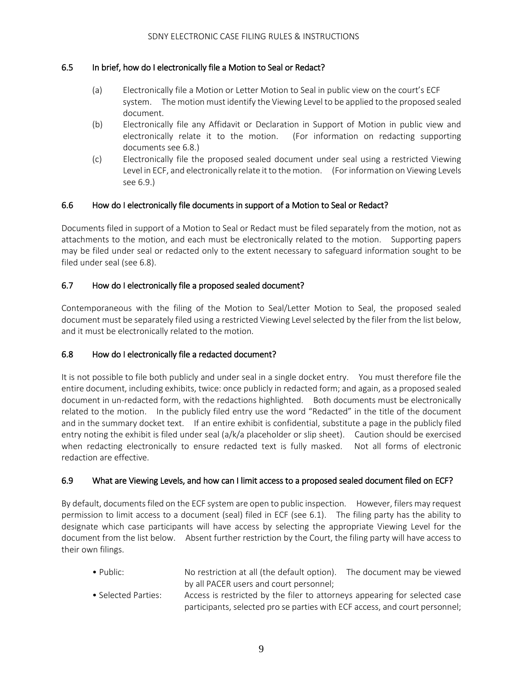## 6.5 In brief, how do I electronically file a Motion to Seal or Redact?

- (a) Electronically file a Motion or Letter Motion to Seal in public view on the court's ECF system. The motion must identify the Viewing Level to be applied to the proposed sealed document.
- (b) Electronically file any Affidavit or Declaration in Support of Motion in public view and electronically relate it to the motion. (For information on redacting supporting documents see 6.8.)
- (c) Electronically file the proposed sealed document under seal using a restricted Viewing Level in ECF, and electronically relate it to the motion. (For information on Viewing Levels see 6.9.)

#### 6.6 How do I electronically file documents in support of a Motion to Seal or Redact?

Documents filed in support of a Motion to Seal or Redact must be filed separately from the motion, not as attachments to the motion, and each must be electronically related to the motion. Supporting papers may be filed under seal or redacted only to the extent necessary to safeguard information sought to be filed under seal (see 6.8).

# 6.7 How do I electronically file a proposed sealed document?

Contemporaneous with the filing of the Motion to Seal/Letter Motion to Seal, the proposed sealed document must be separately filed using a restricted Viewing Level selected by the filer from the list below, and it must be electronically related to the motion.

# 6.8 How do I electronically file a redacted document?

It is not possible to file both publicly and under seal in a single docket entry. You must therefore file the entire document, including exhibits, twice: once publicly in redacted form; and again, as a proposed sealed document in un-redacted form, with the redactions highlighted. Both documents must be electronically related to the motion. In the publicly filed entry use the word "Redacted" in the title of the document and in the summary docket text. If an entire exhibit is confidential, substitute a page in the publicly filed entry noting the exhibit is filed under seal (a/k/a placeholder or slip sheet). Caution should be exercised when redacting electronically to ensure redacted text is fully masked. Not all forms of electronic redaction are effective.

#### 6.9 What are Viewing Levels, and how can I limit access to a proposed sealed document filed on ECF?

By default, documents filed on the ECF system are open to public inspection. However, filers may request permission to limit access to a document (seal) filed in ECF (see 6.1). The filing party has the ability to designate which case participants will have access by selecting the appropriate Viewing Level for the document from the list below. Absent further restriction by the Court, the filing party will have access to their own filings.

- Public: No restriction at all (the default option). The document may be viewed by all PACER users and court personnel;
- Selected Parties: Access is restricted by the filer to attorneys appearing for selected case participants, selected pro se parties with ECF access, and court personnel;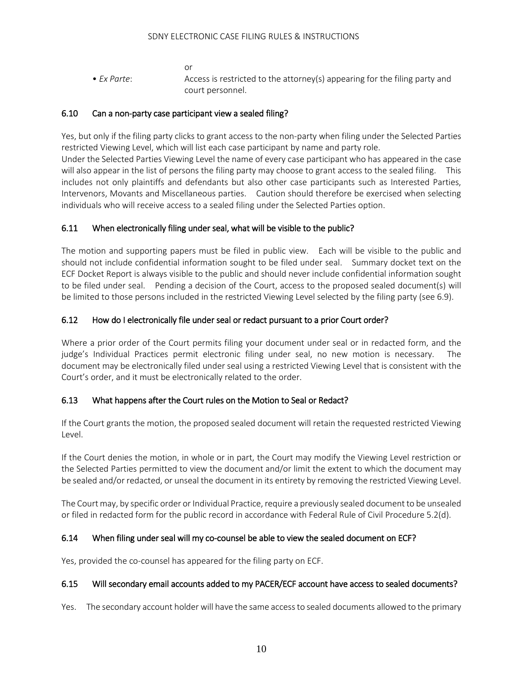or

• *Ex Parte*: Access is restricted to the attorney(s) appearing for the filing party and court personnel.

# 6.10 Can a non-party case participant view a sealed filing?

Yes, but only if the filing party clicks to grant access to the non-party when filing under the Selected Parties restricted Viewing Level, which will list each case participant by name and party role.

Under the Selected Parties Viewing Level the name of every case participant who has appeared in the case will also appear in the list of persons the filing party may choose to grant access to the sealed filing. This includes not only plaintiffs and defendants but also other case participants such as Interested Parties, Intervenors, Movants and Miscellaneous parties. Caution should therefore be exercised when selecting individuals who will receive access to a sealed filing under the Selected Parties option.

# 6.11 When electronically filing under seal, what will be visible to the public?

The motion and supporting papers must be filed in public view. Each will be visible to the public and should not include confidential information sought to be filed under seal. Summary docket text on the ECF Docket Report is always visible to the public and should never include confidential information sought to be filed under seal. Pending a decision of the Court, access to the proposed sealed document(s) will be limited to those persons included in the restricted Viewing Level selected by the filing party (see 6.9).

# 6.12 How do I electronically file under seal or redact pursuant to a prior Court order?

Where a prior order of the Court permits filing your document under seal or in redacted form, and the judge's Individual Practices permit electronic filing under seal, no new motion is necessary. The document may be electronically filed under seal using a restricted Viewing Level that is consistent with the Court's order, and it must be electronically related to the order.

# 6.13 What happens after the Court rules on the Motion to Seal or Redact?

If the Court grants the motion, the proposed sealed document will retain the requested restricted Viewing Level.

If the Court denies the motion, in whole or in part, the Court may modify the Viewing Level restriction or the Selected Parties permitted to view the document and/or limit the extent to which the document may be sealed and/or redacted, or unseal the document in its entirety by removing the restricted Viewing Level.

The Court may, by specific order or Individual Practice, require a previously sealed document to be unsealed or filed in redacted form for the public record in accordance with Federal Rule of Civil Procedure 5.2(d).

# 6.14 When filing under seal will my co-counsel be able to view the sealed document on ECF?

Yes, provided the co-counsel has appeared for the filing party on ECF.

# 6.15 Will secondary email accounts added to my PACER/ECF account have access to sealed documents?

Yes. The secondary account holder will have the same access to sealed documents allowed to the primary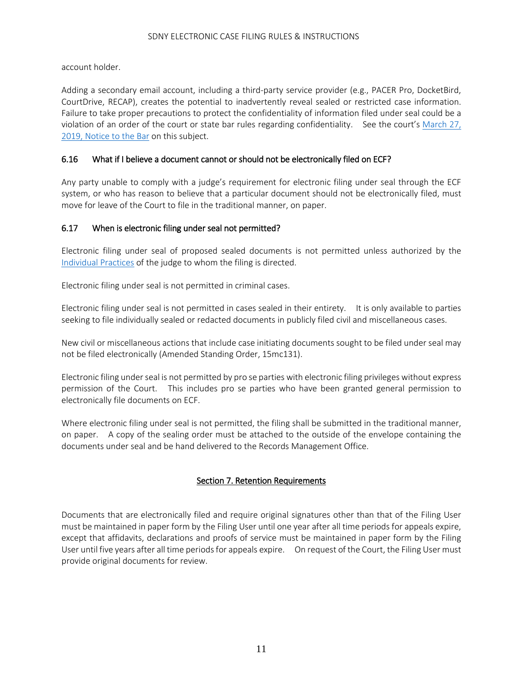account holder.

Adding a secondary email account, including a third-party service provider (e.g., PACER Pro, DocketBird, CourtDrive, RECAP), creates the potential to inadvertently reveal sealed or restricted case information. Failure to take proper precautions to protect the confidentiality of information filed under seal could be a violation of an order of the court or state bar rules regarding confidentiality. See the court's [March 27,](https://nysd.uscourts.gov/sites/default/files/2019-04/Notice%20to%20Bar%20-%20Protect%20Your%20ECF%20Pa.pdf)  [2019, Notice to the Bar](https://nysd.uscourts.gov/sites/default/files/2019-04/Notice%20to%20Bar%20-%20Protect%20Your%20ECF%20Pa.pdf) on this subject.

# 6.16 What if I believe a document cannot or should not be electronically filed on ECF?

Any party unable to comply with a judge's requirement for electronic filing under seal through the ECF system, or who has reason to believe that a particular document should not be electronically filed, must move for leave of the Court to file in the traditional manner, on paper.

# 6.17 When is electronic filing under seal not permitted?

Electronic filing under seal of proposed sealed documents is not permitted unless authorized by the [Individual Practices](https://nysd.uscourts.gov/judges) of the judge to whom the filing is directed.

Electronic filing under seal is not permitted in criminal cases.

Electronic filing under seal is not permitted in cases sealed in their entirety. It is only available to parties seeking to file individually sealed or redacted documents in publicly filed civil and miscellaneous cases.

New civil or miscellaneous actions that include case initiating documents sought to be filed under seal may not be filed electronically (Amended Standing Order, 15mc131).

Electronic filing under seal is not permitted by pro se parties with electronic filing privileges without express permission of the Court. This includes pro se parties who have been granted general permission to electronically file documents on ECF.

Where electronic filing under seal is not permitted, the filing shall be submitted in the traditional manner, on paper. A copy of the sealing order must be attached to the outside of the envelope containing the documents under seal and be hand delivered to the Records Management Office.

# Section 7. Retention Requirements

<span id="page-10-0"></span>Documents that are electronically filed and require original signatures other than that of the Filing User must be maintained in paper form by the Filing User until one year after all time periods for appeals expire, except that affidavits, declarations and proofs of service must be maintained in paper form by the Filing User until five years after all time periods for appeals expire. On request of the Court, the Filing User must provide original documents for review.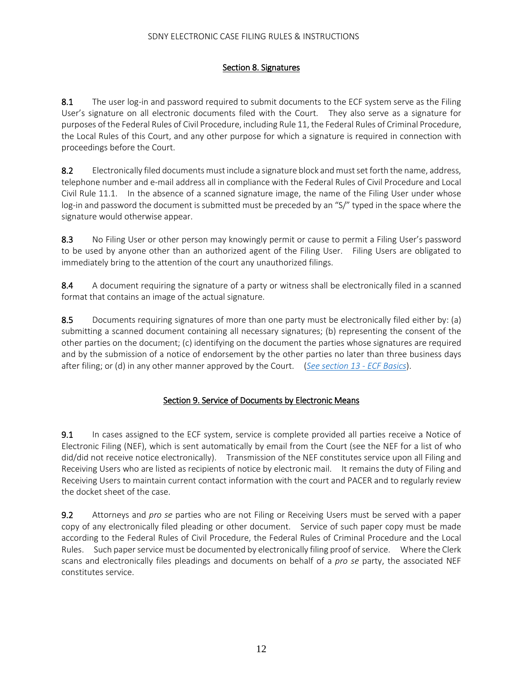# Section 8. Signatures

<span id="page-11-0"></span>8.1 The user log-in and password required to submit documents to the ECF system serve as the Filing User's signature on all electronic documents filed with the Court. They also serve as a signature for purposes of the Federal Rules of Civil Procedure, including Rule 11, the Federal Rules of Criminal Procedure, the Local Rules of this Court, and any other purpose for which a signature is required in connection with proceedings before the Court.

8.2 Electronically filed documents must include a signature block and must set forth the name, address, telephone number and e-mail address all in compliance with the Federal Rules of Civil Procedure and Local Civil Rule 11.1. In the absence of a scanned signature image, the name of the Filing User under whose log-in and password the document is submitted must be preceded by an "S/" typed in the space where the signature would otherwise appear.

8.3 No Filing User or other person may knowingly permit or cause to permit a Filing User's password to be used by anyone other than an authorized agent of the Filing User. Filing Users are obligated to immediately bring to the attention of the court any unauthorized filings.

8.4 A document requiring the signature of a party or witness shall be electronically filed in a scanned format that contains an image of the actual signature.

8.5 Documents requiring signatures of more than one party must be electronically filed either by: (a) submitting a scanned document containing all necessary signatures; (b) representing the consent of the other parties on the document; (c) identifying on the document the parties whose signatures are required and by the submission of a notice of endorsement by the other parties no later than three business days after filing; or (d) in any other manner approved by the Court. (*[See section 13 -](#page-13-0) ECF Basics*).

# Section 9. Service of Documents by Electronic Means

<span id="page-11-1"></span>9.1 In cases assigned to the ECF system, service is complete provided all parties receive a Notice of Electronic Filing (NEF), which is sent automatically by email from the Court (see the NEF for a list of who did/did not receive notice electronically). Transmission of the NEF constitutes service upon all Filing and Receiving Users who are listed as recipients of notice by electronic mail. It remains the duty of Filing and Receiving Users to maintain current contact information with the court and PACER and to regularly review the docket sheet of the case.

9.2 Attorneys and *pro se* parties who are not Filing or Receiving Users must be served with a paper copy of any electronically filed pleading or other document. Service of such paper copy must be made according to the Federal Rules of Civil Procedure, the Federal Rules of Criminal Procedure and the Local Rules. Such paper service must be documented by electronically filing proof of service. Where the Clerk scans and electronically files pleadings and documents on behalf of a *pro se* party, the associated NEF constitutes service.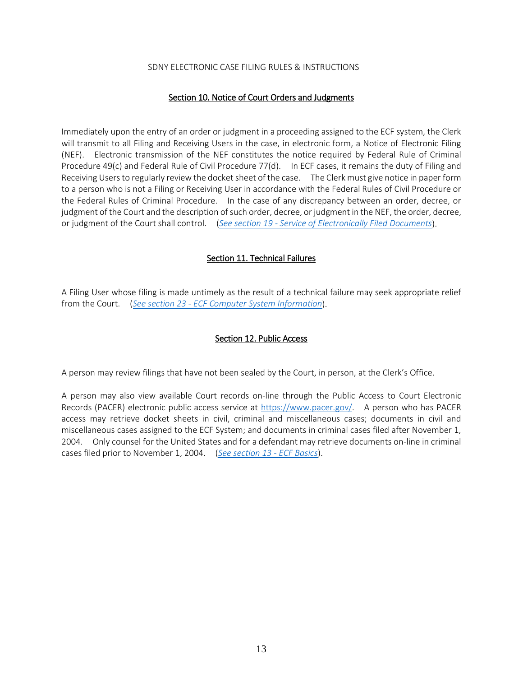#### Section 10. Notice of Court Orders and Judgments

<span id="page-12-0"></span>Immediately upon the entry of an order or judgment in a proceeding assigned to the ECF system, the Clerk will transmit to all Filing and Receiving Users in the case, in electronic form, a Notice of Electronic Filing (NEF). Electronic transmission of the NEF constitutes the notice required by Federal Rule of Criminal Procedure 49(c) and Federal Rule of Civil Procedure 77(d). In ECF cases, it remains the duty of Filing and Receiving Users to regularly review the docket sheet of the case. The Clerk must give notice in paper form to a person who is not a Filing or Receiving User in accordance with the Federal Rules of Civil Procedure or the Federal Rules of Criminal Procedure. In the case of any discrepancy between an order, decree, or judgment of the Court and the description of such order, decree, or judgment in the NEF, the order, decree, or judgment of the Court shall control. (*See section 19 - [Service of Electronically Filed Documents](#page-25-0)*).

#### Section 11. Technical Failures

<span id="page-12-1"></span>A Filing User whose filing is made untimely as the result of a technical failure may seek appropriate relief from the Court. (*See section 23 - [ECF Computer System Information](#page-31-0)*).

## Section 12. Public Access

<span id="page-12-2"></span>A person may review filings that have not been sealed by the Court, in person, at the Clerk's Office.

A person may also view available Court records on-line through the Public Access to Court Electronic Records (PACER) electronic public access service at [https://www.pacer.gov/.](https://www.pacer.gov/) A person who has PACER access may retrieve docket sheets in civil, criminal and miscellaneous cases; documents in civil and miscellaneous cases assigned to the ECF System; and documents in criminal cases filed after November 1, 2004. Only counsel for the United States and for a defendant may retrieve documents on-line in criminal cases filed prior to November 1, 2004. (*[See section 13 -](#page-13-0) ECF Basics*).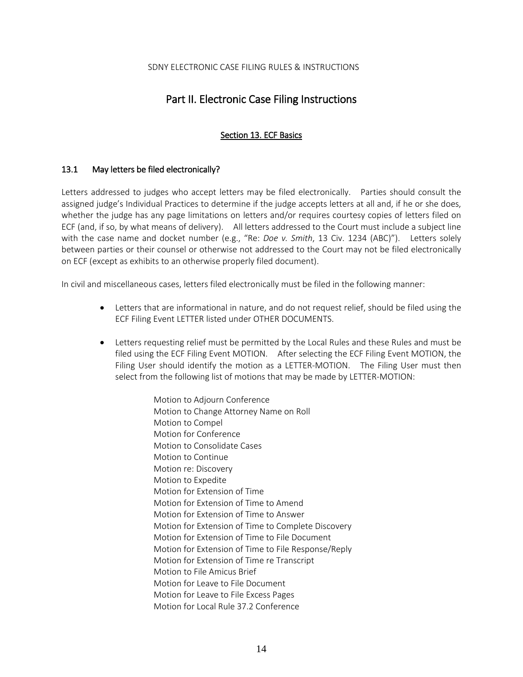# Part II. Electronic Case Filing Instructions

# Section 13. ECF Basics

#### <span id="page-13-1"></span><span id="page-13-0"></span>13.1 May letters be filed electronically?

Letters addressed to judges who accept letters may be filed electronically. Parties should consult the assigned judge's Individual Practices to determine if the judge accepts letters at all and, if he or she does, whether the judge has any page limitations on letters and/or requires courtesy copies of letters filed on ECF (and, if so, by what means of delivery). All letters addressed to the Court must include a subject line with the case name and docket number (e.g., "Re: *Doe v. Smith*, 13 Civ. 1234 (ABC)"). Letters solely between parties or their counsel or otherwise not addressed to the Court may not be filed electronically on ECF (except as exhibits to an otherwise properly filed document).

In civil and miscellaneous cases, letters filed electronically must be filed in the following manner:

- Letters that are informational in nature, and do not request relief, should be filed using the ECF Filing Event LETTER listed under OTHER DOCUMENTS.
- Letters requesting relief must be permitted by the Local Rules and these Rules and must be filed using the ECF Filing Event MOTION. After selecting the ECF Filing Event MOTION, the Filing User should identify the motion as a LETTER-MOTION. The Filing User must then select from the following list of motions that may be made by LETTER-MOTION:

Motion to Adjourn Conference Motion to Change Attorney Name on Roll Motion to Compel Motion for Conference Motion to Consolidate Cases Motion to Continue Motion re: Discovery Motion to Expedite Motion for Extension of Time Motion for Extension of Time to Amend Motion for Extension of Time to Answer Motion for Extension of Time to Complete Discovery Motion for Extension of Time to File Document Motion for Extension of Time to File Response/Reply Motion for Extension of Time re Transcript Motion to File Amicus Brief Motion for Leave to File Document Motion for Leave to File Excess Pages Motion for Local Rule 37.2 Conference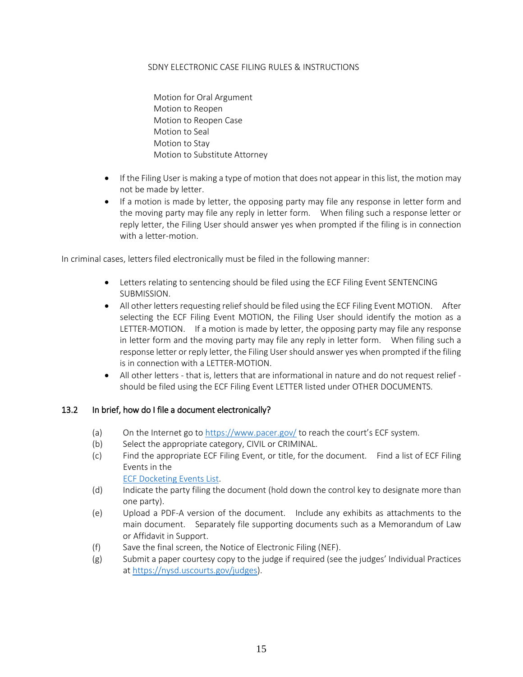Motion for Oral Argument Motion to Reopen Motion to Reopen Case Motion to Seal Motion to Stay Motion to Substitute Attorney

- If the Filing User is making a type of motion that does not appear in this list, the motion may not be made by letter.
- If a motion is made by letter, the opposing party may file any response in letter form and the moving party may file any reply in letter form. When filing such a response letter or reply letter, the Filing User should answer yes when prompted if the filing is in connection with a letter-motion.

In criminal cases, letters filed electronically must be filed in the following manner:

- Letters relating to sentencing should be filed using the ECF Filing Event SENTENCING SUBMISSION.
- All other letters requesting relief should be filed using the ECF Filing Event MOTION. After selecting the ECF Filing Event MOTION, the Filing User should identify the motion as a LETTER-MOTION. If a motion is made by letter, the opposing party may file any response in letter form and the moving party may file any reply in letter form. When filing such a response letter or reply letter, the Filing User should answer yes when prompted if the filing is in connection with a LETTER-MOTION.
- All other letters that is, letters that are informational in nature and do not request relief should be filed using the ECF Filing Event LETTER listed under OTHER DOCUMENTS.

# 13.2 In brief, how do I file a document electronically?

- (a) On the Internet go to<https://www.pacer.gov/> to reach the court's ECF system.
- (b) Select the appropriate category, CIVIL or CRIMINAL.
- (c) Find the appropriate ECF Filing Event, or title, for the document. Find a list of ECF Filing Events in the

[ECF Docketing](https://nysd.uscourts.gov/electronic-case-filing) Events List.

- (d) Indicate the party filing the document (hold down the control key to designate more than one party).
- (e) Upload a PDF-A version of the document. Include any exhibits as attachments to the main document. Separately file supporting documents such as a Memorandum of Law or Affidavit in Support.
- (f) Save the final screen, the Notice of Electronic Filing (NEF).
- (g) Submit a paper courtesy copy to the judge if required (see the judges' Individual Practices at [https://nysd.uscourts.gov/judges\)](https://nysd.uscourts.gov/judges).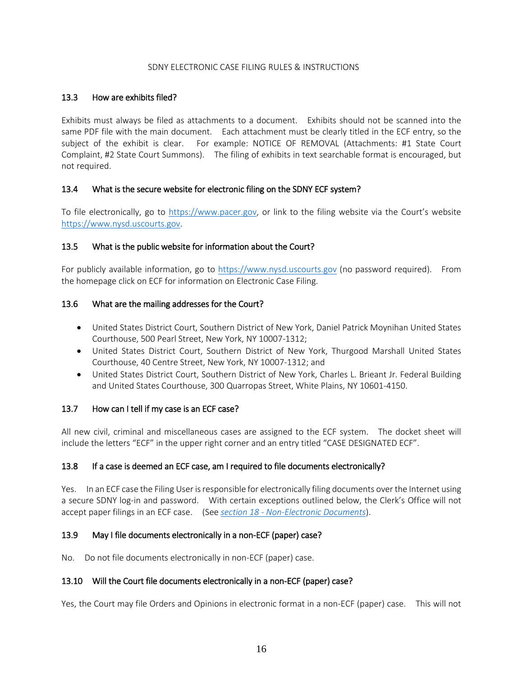#### 13.3 How are exhibits filed?

Exhibits must always be filed as attachments to a document. Exhibits should not be scanned into the same PDF file with the main document. Each attachment must be clearly titled in the ECF entry, so the subject of the exhibit is clear. For example: NOTICE OF REMOVAL (Attachments: #1 State Court Complaint, #2 State Court Summons). The filing of exhibits in text searchable format is encouraged, but not required.

#### 13.4 What is the secure website for electronic filing on the SDNY ECF system?

To file electronically, go to [https://www.pacer.gov,](https://www.pacer.gov/) or link to the filing website via the Court's website [https://www.nysd.uscourts.gov.](https://www.nysd.uscourts.gov/)

#### 13.5 What is the public website for information about the Court?

For publicly available information, go to [https://www.nysd.uscourts.gov](https://www.nysd.uscourts.gov/) (no password required). From the homepage click on ECF for information on Electronic Case Filing.

#### 13.6 What are the mailing addresses for the Court?

- United States District Court, Southern District of New York, Daniel Patrick Moynihan United States Courthouse, 500 Pearl Street, New York, NY 10007-1312;
- United States District Court, Southern District of New York, Thurgood Marshall United States Courthouse, 40 Centre Street, New York, NY 10007-1312; and
- United States District Court, Southern District of New York, Charles L. Brieant Jr. Federal Building and United States Courthouse, 300 Quarropas Street, White Plains, NY 10601-4150.

# 13.7 How can I tell if my case is an ECF case?

All new civil, criminal and miscellaneous cases are assigned to the ECF system. The docket sheet will include the letters "ECF" in the upper right corner and an entry titled "CASE DESIGNATED ECF".

#### 13.8 If a case is deemed an ECF case, am I required to file documents electronically?

Yes. In an ECF case the Filing User is responsible for electronically filing documents over the Internet using a secure SDNY log-in and password. With certain exceptions outlined below, the Clerk's Office will not accept paper filings in an ECF case. (See *section 18 - [Non-Electronic Documents](#page-24-0)*).

# 13.9 May I file documents electronically in a non-ECF (paper) case?

No. Do not file documents electronically in non-ECF (paper) case.

#### 13.10 Will the Court file documents electronically in a non-ECF (paper) case?

Yes, the Court may file Orders and Opinions in electronic format in a non-ECF (paper) case. This will not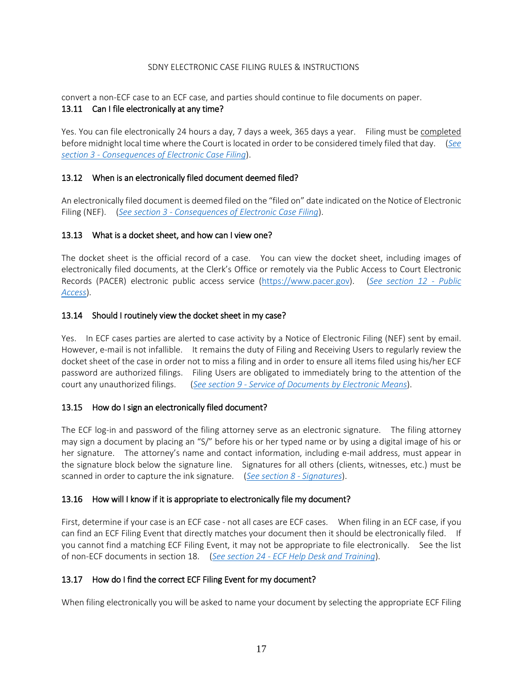convert a non-ECF case to an ECF case, and parties should continue to file documents on paper.

#### 13.11 Can I file electronically at any time?

Yes. You can file electronically 24 hours a day, 7 days a week, 365 days a year. Filing must be completed before midnight local time where the Court is located in order to be considered timely filed that day. (*See section 3 - Consequences of Electronic Case Filing*).

# 13.12 When is an electronically filed document deemed filed?

An electronically filed document is deemed filed on the "filed on" date indicated on the Notice of Electronic Filing (NEF). (*See section 3 - Consequences of Electronic Case Filing*).

# 13.13 What is a docket sheet, and how can I view one?

The docket sheet is the official record of a case. You can view the docket sheet, including images of electronically filed documents, at the Clerk's Office or remotely via the Public Access to Court Electronic Records (PACER) electronic public access service [\(https://www.pacer.gov\)](https://www.pacer.gov/). (*[See section 12 -](#page-12-2) Public [Access](#page-12-2)*).

#### 13.14 Should I routinely view the docket sheet in my case?

Yes. In ECF cases parties are alerted to case activity by a Notice of Electronic Filing (NEF) sent by email. However, e-mail is not infallible. It remains the duty of Filing and Receiving Users to regularly review the docket sheet of the case in order not to miss a filing and in order to ensure all items filed using his/her ECF password are authorized filings. Filing Users are obligated to immediately bring to the attention of the court any unauthorized filings. (*See section 9 - [Service of Documents by Electronic Means](#page-11-1)*).

#### 13.15 How do I sign an electronically filed document?

The ECF log-in and password of the filing attorney serve as an electronic signature. The filing attorney may sign a document by placing an "S/" before his or her typed name or by using a digital image of his or her signature. The attorney's name and contact information, including e-mail address, must appear in the signature block below the signature line. Signatures for all others (clients, witnesses, etc.) must be scanned in order to capture the ink signature. (*[See section 8 -](#page-11-0) Signatures*).

# 13.16 How will I know if it is appropriate to electronically file my document?

First, determine if your case is an ECF case - not all cases are ECF cases. When filing in an ECF case, if you can find an ECF Filing Event that directly matches your document then it should be electronically filed. If you cannot find a matching ECF Filing Event, it may not be appropriate to file electronically. See the list of non-ECF documents in section 18. (*See section 24 - [ECF Help Desk and Training](#page-32-0)*).

#### 13.17 How do I find the correct ECF Filing Event for my document?

When filing electronically you will be asked to name your document by selecting the appropriate ECF Filing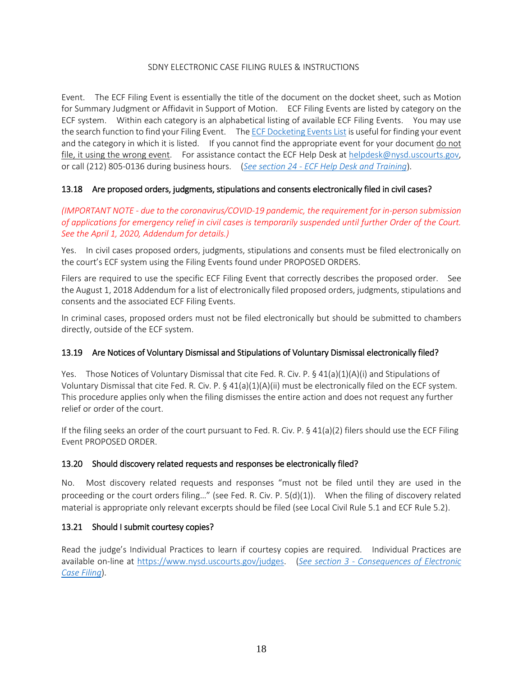Event. The ECF Filing Event is essentially the title of the document on the docket sheet, such as Motion for Summary Judgment or Affidavit in Support of Motion. ECF Filing Events are listed by category on the ECF system. Within each category is an alphabetical listing of available ECF Filing Events. You may use the search function to find your Filing Event. Th[e ECF Docketing Events List](https://nysd.uscourts.gov/electronic-case-filing) is useful for finding your event and the category in which it is listed. If you cannot find the appropriate event for your document do not file, it using the wrong event. For assistance contact the ECF Help Desk at helpdesk@nysd.uscourts.gov, or call (212) 805-0136 during business hours. (*See section 24 - [ECF Help Desk and Training](#page-32-0)*).

# 13.18 Are proposed orders, judgments, stipulations and consents electronically filed in civil cases?

*(IMPORTANT NOTE - due to the coronavirus/COVID-19 pandemic, the requirement for in-person submission of applications for emergency relief in civil cases is temporarily suspended until further Order of the Court. See the April 1, 2020, Addendum for details.)*

Yes. In civil cases proposed orders, judgments, stipulations and consents must be filed electronically on the court's ECF system using the Filing Events found under PROPOSED ORDERS.

Filers are required to use the specific ECF Filing Event that correctly describes the proposed order. See the August 1, 2018 Addendum for a list of electronically filed proposed orders, judgments, stipulations and consents and the associated ECF Filing Events.

In criminal cases, proposed orders must not be filed electronically but should be submitted to chambers directly, outside of the ECF system.

# 13.19 Are Notices of Voluntary Dismissal and Stipulations of Voluntary Dismissal electronically filed?

Yes. Those Notices of Voluntary Dismissal that cite Fed. R. Civ. P. § 41(a)(1)(A)(i) and Stipulations of Voluntary Dismissal that cite Fed. R. Civ. P. § 41(a)(1)(A)(ii) must be electronically filed on the ECF system. This procedure applies only when the filing dismisses the entire action and does not request any further relief or order of the court.

If the filing seeks an order of the court pursuant to Fed. R. Civ. P. § 41(a)(2) filers should use the ECF Filing Event PROPOSED ORDER.

# 13.20 Should discovery related requests and responses be electronically filed?

No. Most discovery related requests and responses "must not be filed until they are used in the proceeding or the court orders filing…" (see Fed. R. Civ. P. 5(d)(1)). When the filing of discovery related material is appropriate only relevant excerpts should be filed (see Local Civil Rule 5.1 and ECF Rule 5.2).

# 13.21 Should I submit courtesy copies?

Read the judge's Individual Practices to learn if courtesy copies are required. Individual Practices are available on-line at [https://www.nysd.uscourts.gov/judges.](https://www.nysd.uscourts.gov/judges) (*See section 3 - Consequences of Electronic Case Filing*).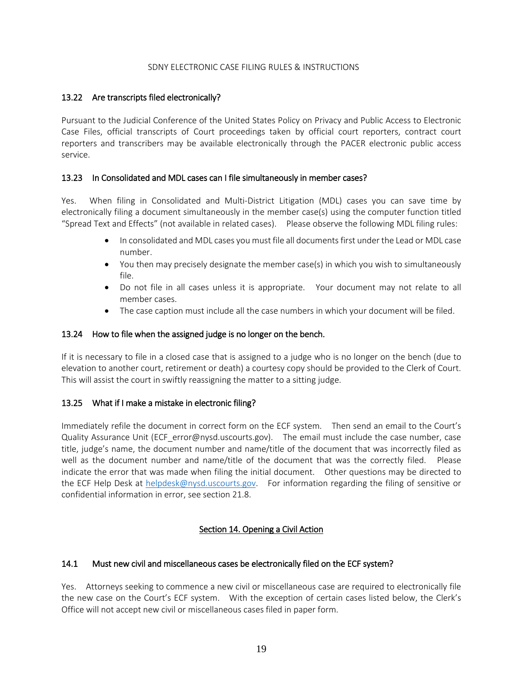#### 13.22 Are transcripts filed electronically?

Pursuant to the Judicial Conference of the United States Policy on Privacy and Public Access to Electronic Case Files, official transcripts of Court proceedings taken by official court reporters, contract court reporters and transcribers may be available electronically through the PACER electronic public access service.

#### 13.23 In Consolidated and MDL cases can I file simultaneously in member cases?

Yes. When filing in Consolidated and Multi-District Litigation (MDL) cases you can save time by electronically filing a document simultaneously in the member case(s) using the computer function titled "Spread Text and Effects" (not available in related cases). Please observe the following MDL filing rules:

- In consolidated and MDL cases you must file all documents first under the Lead or MDL case number.
- You then may precisely designate the member case(s) in which you wish to simultaneously file.
- Do not file in all cases unless it is appropriate. Your document may not relate to all member cases.
- The case caption must include all the case numbers in which your document will be filed.

#### 13.24 How to file when the assigned judge is no longer on the bench.

If it is necessary to file in a closed case that is assigned to a judge who is no longer on the bench (due to elevation to another court, retirement or death) a courtesy copy should be provided to the Clerk of Court. This will assist the court in swiftly reassigning the matter to a sitting judge.

#### 13.25 What if I make a mistake in electronic filing?

Immediately refile the document in correct form on the ECF system. Then send an email to the Court's Quality Assurance Unit (ECF\_error@nysd.uscourts.gov). The email must include the case number, case title, judge's name, the document number and name/title of the document that was incorrectly filed as well as the document number and name/title of the document that was the correctly filed. Please indicate the error that was made when filing the initial document. Other questions may be directed to the ECF Help Desk at [helpdesk@nysd.uscourts.gov.](mailto:helpdesk@nysd.uscourts.gov) For information regarding the filing of sensitive or confidential information in error, see section 21.8.

# Section 14. Opening a Civil Action

#### <span id="page-18-0"></span>14.1 Must new civil and miscellaneous cases be electronically filed on the ECF system?

Yes. Attorneys seeking to commence a new civil or miscellaneous case are required to electronically file the new case on the Court's ECF system. With the exception of certain cases listed below, the Clerk's Office will not accept new civil or miscellaneous cases filed in paper form.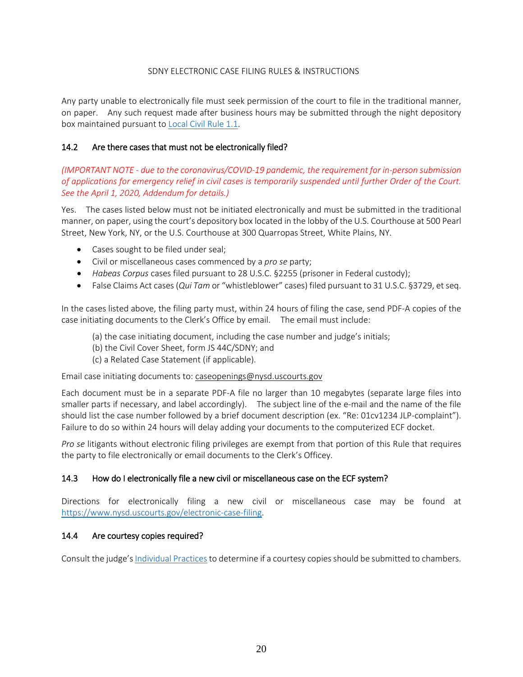Any party unable to electronically file must seek permission of the court to file in the traditional manner, on paper. Any such request made after business hours may be submitted through the night depository box maintained pursuant to [Local Civil Rule 1.1.](https://nysd.uscourts.gov/rules.php)

# 14.2 Are there cases that must not be electronically filed?

*(IMPORTANT NOTE - due to the coronavirus/COVID-19 pandemic, the requirement for in-person submission of applications for emergency relief in civil cases is temporarily suspended until further Order of the Court. See the April 1, 2020, Addendum for details.)*

Yes. The cases listed below must not be initiated electronically and must be submitted in the traditional manner, on paper, using the court's depository box located in the lobby of the U.S. Courthouse at 500 Pearl Street, New York, NY, or the U.S. Courthouse at 300 Quarropas Street, White Plains, NY.

- Cases sought to be filed under seal;
- Civil or miscellaneous cases commenced by a *pro se* party;
- *Habeas Corpus* cases filed pursuant to 28 U.S.C. §2255 (prisoner in Federal custody);
- False Claims Act cases (*Qui Tam* or "whistleblower" cases) filed pursuant to 31 U.S.C. §3729, et seq.

In the cases listed above, the filing party must, within 24 hours of filing the case, send PDF-A copies of the case initiating documents to the Clerk's Office by email. The email must include:

- (a) the case initiating document, including the case number and judge's initials;
- (b) the Civil Cover Sheet, form JS 44C/SDNY; and
- (c) a Related Case Statement (if applicable).

Email case initiating documents to: caseopenings@nysd.uscourts.gov

Each document must be in a separate PDF-A file no larger than 10 megabytes (separate large files into smaller parts if necessary, and label accordingly). The subject line of the e-mail and the name of the file should list the case number followed by a brief document description (ex. "Re: 01cv1234 JLP-complaint"). Failure to do so within 24 hours will delay adding your documents to the computerized ECF docket.

*Pro se* litigants without electronic filing privileges are exempt from that portion of this Rule that requires the party to file electronically or email documents to the Clerk's Officey.

# 14.3 How do I electronically file a new civil or miscellaneous case on the ECF system?

Directions for electronically filing a new civil or miscellaneous case may be found at [https://www.nysd.uscourts.gov/electronic-case-filing.](https://www.nysd.uscourts.gov/electronic-case-filing)

# 14.4 Are courtesy copies required?

Consult the judge's [Individual Practices](https://nysd.uscourts.gov/judges) to determine if a courtesy copiesshould be submitted to chambers.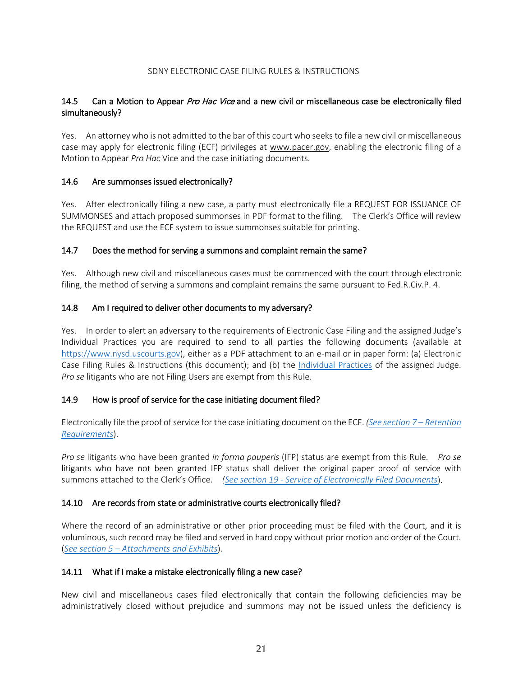# 14.5 Can a Motion to Appear Pro Hac Vice and a new civil or miscellaneous case be electronically filed simultaneously?

Yes. An attorney who is not admitted to the bar of this court who seeks to file a new civil or miscellaneous case may apply for electronic filing (ECF) privileges at [www.pacer.gov,](http://www.pacer.gov/) enabling the electronic filing of a Motion to Appear *Pro Hac* Vice and the case initiating documents.

#### 14.6 Are summonses issued electronically?

Yes. After electronically filing a new case, a party must electronically file a REQUEST FOR ISSUANCE OF SUMMONSES and attach proposed summonses in PDF format to the filing. The Clerk's Office will review the REQUEST and use the ECF system to issue summonses suitable for printing.

#### 14.7 Does the method for serving a summons and complaint remain the same?

Yes. Although new civil and miscellaneous cases must be commenced with the court through electronic filing, the method of serving a summons and complaint remains the same pursuant to Fed.R.Civ.P. 4.

#### 14.8 Am I required to deliver other documents to my adversary?

Yes. In order to alert an adversary to the requirements of Electronic Case Filing and the assigned Judge's Individual Practices you are required to send to all parties the following documents (available at [https://www.nysd.uscourts.gov\)](https://www.nysd.uscourts.gov/), either as a PDF attachment to an e-mail or in paper form: (a) Electronic Case Filing Rules & Instructions (this document); and (b) the [Individual Practices](https://nysd.uscourts.gov/judges) of the assigned Judge. *Pro se* litigants who are not Filing Users are exempt from this Rule.

#### 14.9 How is proof of service for the case initiating document filed?

Electronically file the proof of service for the case initiating document on the ECF. *[\(See section 7 –](#page-10-0) Retention [Requirements](#page-10-0)*).

*Pro se* litigants who have been granted *in forma pauperis* (IFP) status are exempt from this Rule. *Pro se* litigants who have not been granted IFP status shall deliver the original paper proof of service with summons attached to the Clerk's Office. *(See section 19 - [Service of Electronically Filed Documents](#page-25-0)*).

# 14.10 Are records from state or administrative courts electronically filed?

Where the record of an administrative or other prior proceeding must be filed with the Court, and it is voluminous, such record may be filed and served in hard copy without prior motion and order of the Court. (*See section 5 – [Attachments and Exhibits](#page-7-0)*).

#### 14.11 What if I make a mistake electronically filing a new case?

New civil and miscellaneous cases filed electronically that contain the following deficiencies may be administratively closed without prejudice and summons may not be issued unless the deficiency is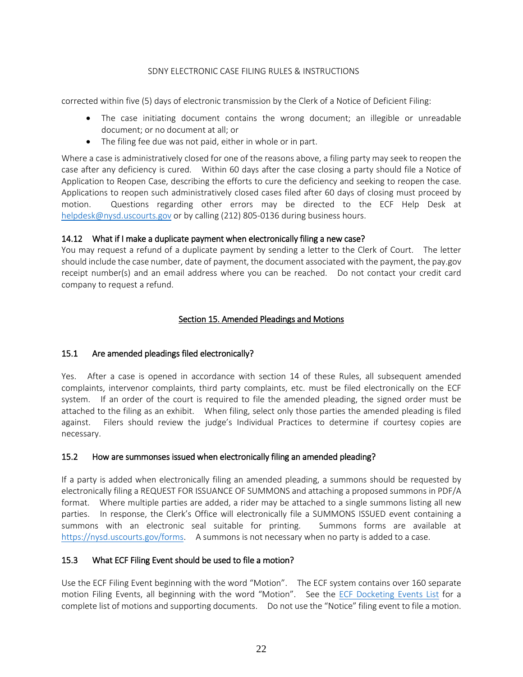corrected within five (5) days of electronic transmission by the Clerk of a Notice of Deficient Filing:

- The case initiating document contains the wrong document; an illegible or unreadable document; or no document at all; or
- The filing fee due was not paid, either in whole or in part.

Where a case is administratively closed for one of the reasons above, a filing party may seek to reopen the case after any deficiency is cured. Within 60 days after the case closing a party should file a Notice of Application to Reopen Case, describing the efforts to cure the deficiency and seeking to reopen the case. Applications to reopen such administratively closed cases filed after 60 days of closing must proceed by motion. Questions regarding other errors may be directed to the ECF Help Desk at [helpdesk@nysd.uscourts.gov](mailto:helpdesk@nysd.uscourts.gov) or by calling (212) 805-0136 during business hours.

# 14.12 What if I make a duplicate payment when electronically filing a new case?

You may request a refund of a duplicate payment by sending a letter to the Clerk of Court. The letter should include the case number, date of payment, the document associated with the payment, the pay.gov receipt number(s) and an email address where you can be reached. Do not contact your credit card company to request a refund.

# Section 15. Amended Pleadings and Motions

# <span id="page-21-0"></span>15.1 Are amended pleadings filed electronically?

Yes. After a case is opened in accordance with section 14 of these Rules, all subsequent amended complaints, intervenor complaints, third party complaints, etc. must be filed electronically on the ECF system. If an order of the court is required to file the amended pleading, the signed order must be attached to the filing as an exhibit. When filing, select only those parties the amended pleading is filed against. Filers should review the judge's Individual Practices to determine if courtesy copies are necessary.

#### 15.2 How are summonses issued when electronically filing an amended pleading?

If a party is added when electronically filing an amended pleading, a summons should be requested by electronically filing a REQUEST FOR ISSUANCE OF SUMMONS and attaching a proposed summons in PDF/A format. Where multiple parties are added, a rider may be attached to a single summons listing all new parties. In response, the Clerk's Office will electronically file a SUMMONS ISSUED event containing a summons with an electronic seal suitable for printing. Summons forms are available at [https://nysd.uscourts.gov/forms.](https://nysd.uscourts.gov/forms) A summons is not necessary when no party is added to a case.

# 15.3 What ECF Filing Event should be used to file a motion?

Use the ECF Filing Event beginning with the word "Motion". The ECF system contains over 160 separate motion Filing Events, all beginning with the word "Motion". See the [ECF Docketing Events List](https://nysd.uscourts.gov/electronic-case-filing) for a complete list of motions and supporting documents. Do not use the "Notice" filing event to file a motion.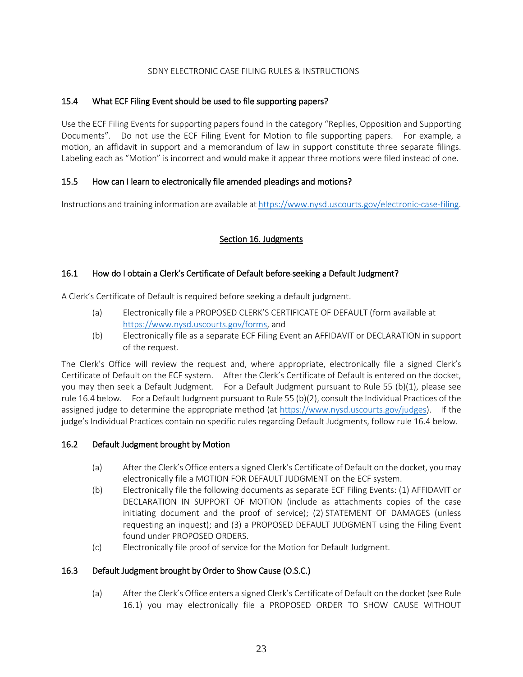# 15.4 What ECF Filing Event should be used to file supporting papers?

Use the ECF Filing Events for supporting papers found in the category "Replies, Opposition and Supporting Documents". Do not use the ECF Filing Event for Motion to file supporting papers. For example, a motion, an affidavit in support and a memorandum of law in support constitute three separate filings. Labeling each as "Motion" is incorrect and would make it appear three motions were filed instead of one.

# 15.5 How can I learn to electronically file amended pleadings and motions?

<span id="page-22-0"></span>Instructions and training information are available a[t https://www.nysd.uscourts.gov/electronic-case-filing.](https://www.nysd.uscourts.gov/electronic-case-filing)

# Section 16. Judgments

# 16.1 How do I obtain a Clerk's Certificate of Default before seeking a Default Judgment?

A Clerk's Certificate of Default is required before seeking a default judgment.

- (a) Electronically file a PROPOSED CLERK'S CERTIFICATE OF DEFAULT (form available at [https://www.nysd.uscourts.gov/forms,](https://www.nysd.uscourts.gov/forms) and
- (b) Electronically file as a separate ECF Filing Event an AFFIDAVIT or DECLARATION in support of the request.

The Clerk's Office will review the request and, where appropriate, electronically file a signed Clerk's Certificate of Default on the ECF system. After the Clerk's Certificate of Default is entered on the docket, you may then seek a Default Judgment. For a Default Judgment pursuant to Rule 55 (b)(1), please see rule 16.4 below. For a Default Judgment pursuant to Rule 55 (b)(2), consult the Individual Practices of the assigned judge to determine the appropriate method (at [https://www.nysd.uscourts.gov/judges\)](https://www.nysd.uscourts.gov/judges). If the judge's Individual Practices contain no specific rules regarding Default Judgments, follow rule 16.4 below.

# 16.2 Default Judgment brought by Motion

- (a) After the Clerk's Office enters a signed Clerk's Certificate of Default on the docket, you may electronically file a MOTION FOR DEFAULT JUDGMENT on the ECF system.
- (b) Electronically file the following documents as separate ECF Filing Events: (1) AFFIDAVIT or DECLARATION IN SUPPORT OF MOTION (include as attachments copies of the case initiating document and the proof of service); (2) STATEMENT OF DAMAGES (unless requesting an inquest); and (3) a PROPOSED DEFAULT JUDGMENT using the Filing Event found under PROPOSED ORDERS.
- (c) Electronically file proof of service for the Motion for Default Judgment.

# 16.3 Default Judgment brought by Order to Show Cause (O.S.C.)

(a) After the Clerk's Office enters a signed Clerk's Certificate of Default on the docket (see Rule 16.1) you may electronically file a PROPOSED ORDER TO SHOW CAUSE WITHOUT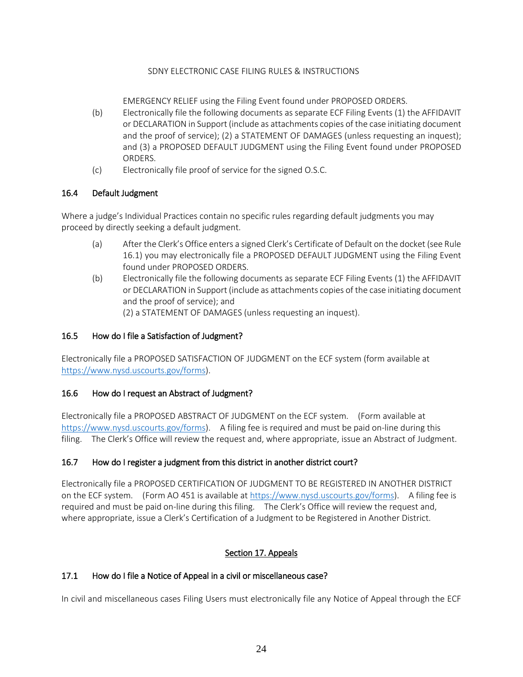EMERGENCY RELIEF using the Filing Event found under PROPOSED ORDERS.

- (b) Electronically file the following documents as separate ECF Filing Events (1) the AFFIDAVIT or DECLARATION in Support (include as attachments copies of the case initiating document and the proof of service); (2) a STATEMENT OF DAMAGES (unless requesting an inquest); and (3) a PROPOSED DEFAULT JUDGMENT using the Filing Event found under PROPOSED ORDERS.
- (c) Electronically file proof of service for the signed O.S.C.

# 16.4 Default Judgment

Where a judge's Individual Practices contain no specific rules regarding default judgments you may proceed by directly seeking a default judgment.

- (a) After the Clerk's Office enters a signed Clerk's Certificate of Default on the docket (see Rule 16.1) you may electronically file a PROPOSED DEFAULT JUDGMENT using the Filing Event found under PROPOSED ORDERS.
- (b) Electronically file the following documents as separate ECF Filing Events (1) the AFFIDAVIT or DECLARATION in Support (include as attachments copies of the case initiating document and the proof of service); and
	- (2) a STATEMENT OF DAMAGES (unless requesting an inquest).

# 16.5 How do I file a Satisfaction of Judgment?

Electronically file a PROPOSED SATISFACTION OF JUDGMENT on the ECF system (form available at [https://www.nysd.uscourts.gov/forms\)](https://www.nysd.uscourts.gov/forms).

# 16.6 How do I request an Abstract of Judgment?

Electronically file a PROPOSED ABSTRACT OF JUDGMENT on the ECF system. (Form available at [https://www.nysd.uscourts.gov/forms\)](https://www.nysd.uscourts.gov/forms). A filing fee is required and must be paid on-line during this filing. The Clerk's Office will review the request and, where appropriate, issue an Abstract of Judgment.

# 16.7 How do I register a judgment from this district in another district court?

Electronically file a PROPOSED CERTIFICATION OF JUDGMENT TO BE REGISTERED IN ANOTHER DISTRICT on the ECF system. (Form AO 451 is available a[t https://www.nysd.uscourts.gov/forms\)](https://www.nysd.uscourts.gov/forms). A filing fee is required and must be paid on-line during this filing. The Clerk's Office will review the request and, where appropriate, issue a Clerk's Certification of a Judgment to be Registered in Another District.

# Section 17. Appeals

# <span id="page-23-0"></span>17.1 How do I file a Notice of Appeal in a civil or miscellaneous case?

In civil and miscellaneous cases Filing Users must electronically file any Notice of Appeal through the ECF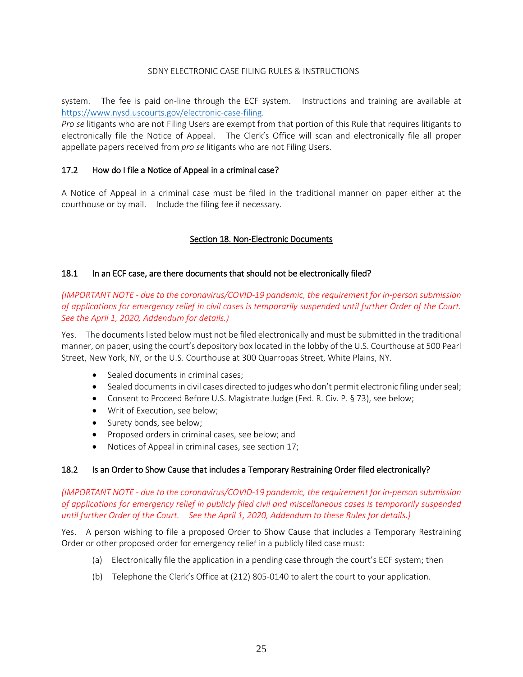system. The fee is paid on-line through the ECF system. Instructions and training are available at [https://www.nysd.uscourts.gov/electronic-case-filing.](https://www.nysd.uscourts.gov/electronic-case-filing)

*Pro se* litigants who are not Filing Users are exempt from that portion of this Rule that requires litigants to electronically file the Notice of Appeal. The Clerk's Office will scan and electronically file all proper appellate papers received from *pro se* litigants who are not Filing Users.

#### 17.2 How do I file a Notice of Appeal in a criminal case?

A Notice of Appeal in a criminal case must be filed in the traditional manner on paper either at the courthouse or by mail. Include the filing fee if necessary.

#### Section 18. Non-Electronic Documents

#### <span id="page-24-0"></span>18.1 In an ECF case, are there documents that should not be electronically filed?

*(IMPORTANT NOTE - due to the coronavirus/COVID-19 pandemic, the requirement for in-person submission of applications for emergency relief in civil cases is temporarily suspended until further Order of the Court. See the April 1, 2020, Addendum for details.)*

Yes. The documents listed below must not be filed electronically and must be submitted in the traditional manner, on paper, using the court's depository box located in the lobby of the U.S. Courthouse at 500 Pearl Street, New York, NY, or the U.S. Courthouse at 300 Quarropas Street, White Plains, NY.

- Sealed documents in criminal cases;
- Sealed documents in civil cases directed to judges who don't permit electronic filing under seal;
- Consent to Proceed Before U.S. Magistrate Judge (Fed. R. Civ. P. § 73), see below;
- Writ of Execution, see below;
- Surety bonds, see below;
- Proposed orders in criminal cases, see below; and
- Notices of Appeal in criminal cases, see section 17;

#### 18.2 Is an Order to Show Cause that includes a Temporary Restraining Order filed electronically?

*(IMPORTANT NOTE - due to the coronavirus/COVID-19 pandemic, the requirement for in-person submission of applications for emergency relief in publicly filed civil and miscellaneous cases is temporarily suspended until further Order of the Court. See the April 1, 2020, Addendum to these Rules for details.)*

Yes. A person wishing to file a proposed Order to Show Cause that includes a Temporary Restraining Order or other proposed order for emergency relief in a publicly filed case must:

- (a) Electronically file the application in a pending case through the court's ECF system; then
- (b) Telephone the Clerk's Office at (212) 805-0140 to alert the court to your application.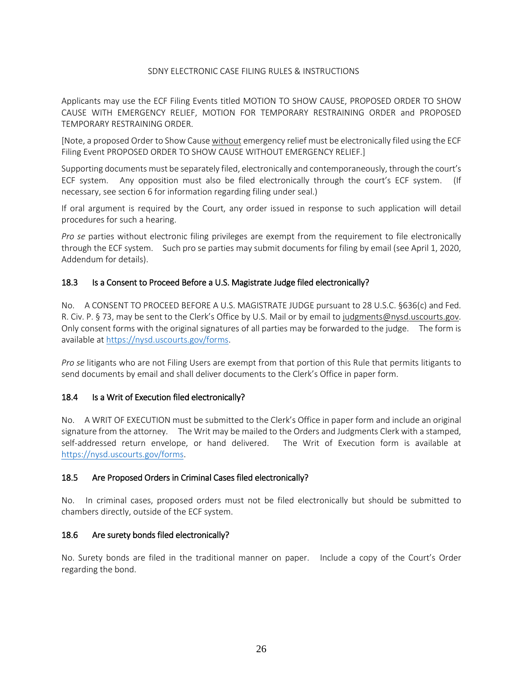Applicants may use the ECF Filing Events titled MOTION TO SHOW CAUSE, PROPOSED ORDER TO SHOW CAUSE WITH EMERGENCY RELIEF, MOTION FOR TEMPORARY RESTRAINING ORDER and PROPOSED TEMPORARY RESTRAINING ORDER.

[Note, a proposed Order to Show Cause without emergency relief must be electronically filed using the ECF Filing Event PROPOSED ORDER TO SHOW CAUSE WITHOUT EMERGENCY RELIEF.]

Supporting documents must be separately filed, electronically and contemporaneously, through the court's ECF system. Any opposition must also be filed electronically through the court's ECF system. (If necessary, see section 6 for information regarding filing under seal.)

If oral argument is required by the Court, any order issued in response to such application will detail procedures for such a hearing.

*Pro se* parties without electronic filing privileges are exempt from the requirement to file electronically through the ECF system. Such pro se parties may submit documents for filing by email (see April 1, 2020, Addendum for details).

#### 18.3 Is a Consent to Proceed Before a U.S. Magistrate Judge filed electronically?

No. A CONSENT TO PROCEED BEFORE A U.S. MAGISTRATE JUDGE pursuant to 28 U.S.C. §636(c) and Fed. R. Civ. P. § 73, may be sent to the Clerk's Office by U.S. Mail or by email to judgments@nysd.uscourts.gov. Only consent forms with the original signatures of all parties may be forwarded to the judge. The form is available at [https://nysd.uscourts.gov/forms.](https://nysd.uscourts.gov/forms)

*Pro se* litigants who are not Filing Users are exempt from that portion of this Rule that permits litigants to send documents by email and shall deliver documents to the Clerk's Office in paper form.

#### 18.4 Is a Writ of Execution filed electronically?

No. A WRIT OF EXECUTION must be submitted to the Clerk's Office in paper form and include an original signature from the attorney. The Writ may be mailed to the Orders and Judgments Clerk with a stamped, self-addressed return envelope, or hand delivered. The Writ of Execution form is available at [https://nysd.uscourts.gov/forms.](https://nysd.uscourts.gov/forms)

#### 18.5 Are Proposed Orders in Criminal Cases filed electronically?

No. In criminal cases, proposed orders must not be filed electronically but should be submitted to chambers directly, outside of the ECF system.

#### 18.6 Are surety bonds filed electronically?

<span id="page-25-0"></span>No. Surety bonds are filed in the traditional manner on paper. Include a copy of the Court's Order regarding the bond.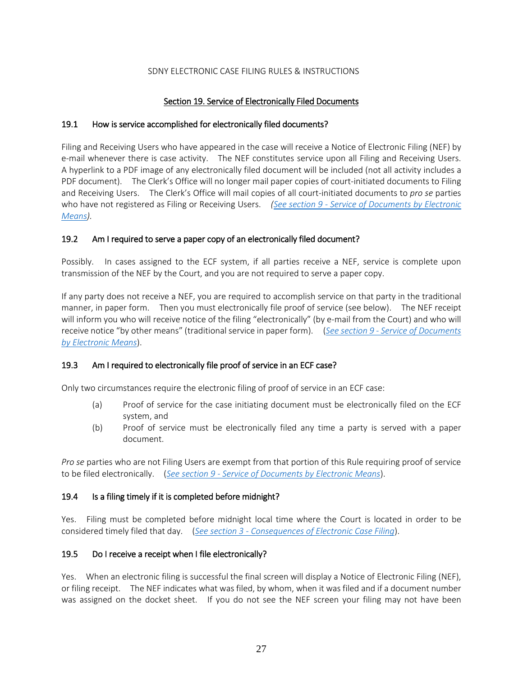# Section 19. Service of Electronically Filed Documents

## <span id="page-26-0"></span>19.1 How is service accomplished for electronically filed documents?

Filing and Receiving Users who have appeared in the case will receive a Notice of Electronic Filing (NEF) by e-mail whenever there is case activity. The NEF constitutes service upon all Filing and Receiving Users. A hyperlink to a PDF image of any electronically filed document will be included (not all activity includes a PDF document). The Clerk's Office will no longer mail paper copies of court-initiated documents to Filing and Receiving Users. The Clerk's Office will mail copies of all court-initiated documents to *pro se* parties who have not registered as Filing or Receiving Users. *(See section 9 - [Service of Documents by Electronic](#page-11-1)  [Means\)](#page-11-1).*

#### 19.2 Am I required to serve a paper copy of an electronically filed document?

Possibly. In cases assigned to the ECF system, if all parties receive a NEF, service is complete upon transmission of the NEF by the Court, and you are not required to serve a paper copy.

If any party does not receive a NEF, you are required to accomplish service on that party in the traditional manner, in paper form. Then you must electronically file proof of service (see below). The NEF receipt will inform you who will receive notice of the filing "electronically" (by e-mail from the Court) and who will receive notice "by other means" (traditional service in paper form). (*See section 9 - [Service of Documents](#page-11-1)  [by Electronic Means](#page-11-1)*).

# 19.3 Am I required to electronically file proof of service in an ECF case?

Only two circumstances require the electronic filing of proof of service in an ECF case:

- (a) Proof of service for the case initiating document must be electronically filed on the ECF system, and
- (b) Proof of service must be electronically filed any time a party is served with a paper document.

*Pro se* parties who are not Filing Users are exempt from that portion of this Rule requiring proof of service to be filed electronically. (*See section 9 - [Service of Documents by Electronic Means](#page-11-1)*).

#### 19.4 Is a filing timely if it is completed before midnight?

Yes. Filing must be completed before midnight local time where the Court is located in order to be considered timely filed that day. (*See section 3 - Consequences of Electronic Case Filing*).

#### 19.5 Do I receive a receipt when I file electronically?

Yes. When an electronic filing is successful the final screen will display a Notice of Electronic Filing (NEF), or filing receipt. The NEF indicates what was filed, by whom, when it was filed and if a document number was assigned on the docket sheet. If you do not see the NEF screen your filing may not have been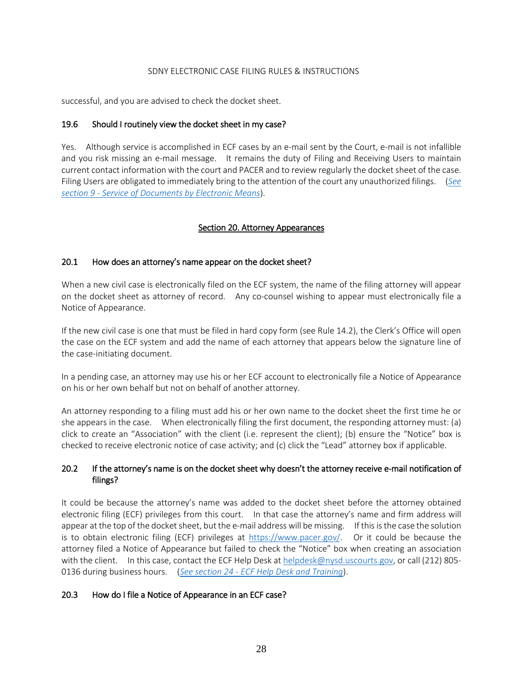successful, and you are advised to check the docket sheet.

#### 19.6 Should I routinely view the docket sheet in my case?

Yes. Although service is accomplished in ECF cases by an e-mail sent by the Court, e-mail is not infallible and you risk missing an e-mail message. It remains the duty of Filing and Receiving Users to maintain current contact information with the court and PACER and to review regularly the docket sheet of the case. Filing Users are obligated to immediately bring to the attention of the court any unauthorized filings. (*[See](#page-11-1)  section 9 - [Service of Documents by Electronic Means](#page-11-1)*).

# Section 20. Attorney Appearances

#### <span id="page-27-0"></span>20.1 How does an attorney's name appear on the docket sheet?

When a new civil case is electronically filed on the ECF system, the name of the filing attorney will appear on the docket sheet as attorney of record. Any co-counsel wishing to appear must electronically file a Notice of Appearance.

If the new civil case is one that must be filed in hard copy form (see Rule 14.2), the Clerk's Office will open the case on the ECF system and add the name of each attorney that appears below the signature line of the case-initiating document.

In a pending case, an attorney may use his or her ECF account to electronically file a Notice of Appearance on his or her own behalf but not on behalf of another attorney.

An attorney responding to a filing must add his or her own name to the docket sheet the first time he or she appears in the case. When electronically filing the first document, the responding attorney must: (a) click to create an "Association" with the client (i.e. represent the client); (b) ensure the "Notice" box is checked to receive electronic notice of case activity; and (c) click the "Lead" attorney box if applicable.

# 20.2 If the attorney's name is on the docket sheet why doesn't the attorney receive e-mail notification of filings?

It could be because the attorney's name was added to the docket sheet before the attorney obtained electronic filing (ECF) privileges from this court. In that case the attorney's name and firm address will appear at the top of the docket sheet, but the e-mail address will be missing. If this is the case the solution is to obtain electronic filing (ECF) privileges at  $https://www.pacer.gov/$ . Or it could be because the attorney filed a Notice of Appearance but failed to check the "Notice" box when creating an association with the client. In this case, contact the ECF Help Desk a[t helpdesk@nysd.uscourts.gov,](mailto:helpdesk@nysd.uscourts.gov) or call (212) 805-0136 during business hours. (*See section 24 - [ECF Help Desk and Training](#page-32-0)*).

# 20.3 How do I file a Notice of Appearance in an ECF case?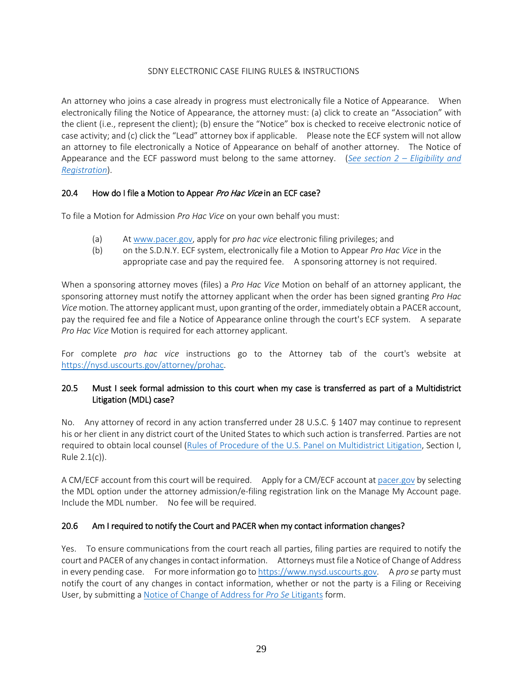An attorney who joins a case already in progress must electronically file a Notice of Appearance. When electronically filing the Notice of Appearance, the attorney must: (a) click to create an "Association" with the client (i.e., represent the client); (b) ensure the "Notice" box is checked to receive electronic notice of case activity; and (c) click the "Lead" attorney box if applicable. Please note the ECF system will not allow an attorney to file electronically a Notice of Appearance on behalf of another attorney. The Notice of Appearance and the ECF password must belong to the same attorney. (*See section 2 – Eligibility and Registration*).

# 20.4 How do I file a Motion to Appear Pro Hac Vice in an ECF case?

To file a Motion for Admission *Pro Hac Vice* on your own behalf you must:

- (a) At [www.pacer.gov,](https://www.pacer.gov/) apply for *pro hac vice* electronic filing privileges; and
- (b) on the S.D.N.Y. ECF system, electronically file a Motion to Appear *Pro Hac Vice* in the appropriate case and pay the required fee. A sponsoring attorney is not required.

When a sponsoring attorney moves (files) a *Pro Hac Vice* Motion on behalf of an attorney applicant, the sponsoring attorney must notify the attorney applicant when the order has been signed granting *Pro Hac Vice* motion. The attorney applicant must, upon granting of the order, immediately obtain a PACER account, pay the required fee and file a Notice of Appearance online through the court's ECF system. A separate *Pro Hac Vice* Motion is required for each attorney applicant.

For complete *pro hac vice* instructions go to the Attorney tab of the court's website at [https://nysd.uscourts.gov/attorney/prohac.](https://nysd.uscourts.gov/attorney/prohac)

# 20.5 Must I seek formal admission to this court when my case is transferred as part of a Multidistrict Litigation (MDL) case?

No. Any attorney of record in any action transferred under 28 U.S.C. § 1407 may continue to represent his or her client in any district court of the United States to which such action is transferred. Parties are not required to obtain local counsel [\(Rules of Procedure of the U.S. Panel on Multidistrict Litigation,](https://www.jpml.uscourts.gov/rules-procedures) Section I, Rule 2.1(c)).

A CM/ECF account from this court will be required. Apply for a CM/ECF account a[t pacer.gov](https://www.pacer.gov/) by selecting the MDL option under the attorney admission/e-filing registration link on the Manage My Account page. Include the MDL number. No fee will be required.

#### 20.6 Am I required to notify the Court and PACER when my contact information changes?

Yes. To ensure communications from the court reach all parties, filing parties are required to notify the court and PACER of any changes in contact information. Attorneys must file a Notice of Change of Address in every pending case. For more information go t[o https://www.nysd.uscourts.gov.](https://www.nysd.uscourts.gov/forms?field_form_category_target_id=23&title=&sort_by=title) A *pro se* party must notify the court of any changes in contact information, whether or not the party is a Filing or Receiving User, by submitting a [Notice of Change of Address for](https://nysd.uscourts.gov/node/823) *Pro Se* Litigants form.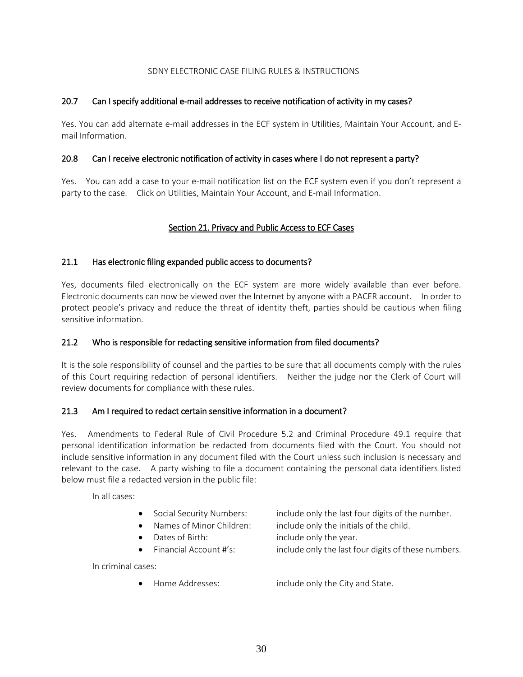# 20.7 Can I specify additional e-mail addresses to receive notification of activity in my cases?

Yes. You can add alternate e-mail addresses in the ECF system in Utilities, Maintain Your Account, and Email Information.

#### 20.8 Can I receive electronic notification of activity in cases where I do not represent a party?

<span id="page-29-0"></span>Yes. You can add a case to your e-mail notification list on the ECF system even if you don't represent a party to the case. Click on Utilities, Maintain Your Account, and E-mail Information.

# Section 21. Privacy and Public Access to ECF Cases

#### 21.1 Has electronic filing expanded public access to documents?

Yes, documents filed electronically on the ECF system are more widely available than ever before. Electronic documents can now be viewed over the Internet by anyone with a PACER account. In order to protect people's privacy and reduce the threat of identity theft, parties should be cautious when filing sensitive information.

#### 21.2 Who is responsible for redacting sensitive information from filed documents?

It is the sole responsibility of counsel and the parties to be sure that all documents comply with the rules of this Court requiring redaction of personal identifiers. Neither the judge nor the Clerk of Court will review documents for compliance with these rules.

#### 21.3 Am I required to redact certain sensitive information in a document?

Yes. Amendments to Federal Rule of Civil Procedure 5.2 and Criminal Procedure 49.1 require that personal identification information be redacted from documents filed with the Court. You should not include sensitive information in any document filed with the Court unless such inclusion is necessary and relevant to the case. A party wishing to file a document containing the personal data identifiers listed below must file a redacted version in the public file:

In all cases:

- Social Security Numbers: include only the last four digits of the number.
- Names of Minor Children: include only the initials of the child.
- Dates of Birth: include only the year.
- Financial Account #'s: include only the last four digits of these numbers.

In criminal cases:

• Home Addresses: include only the City and State.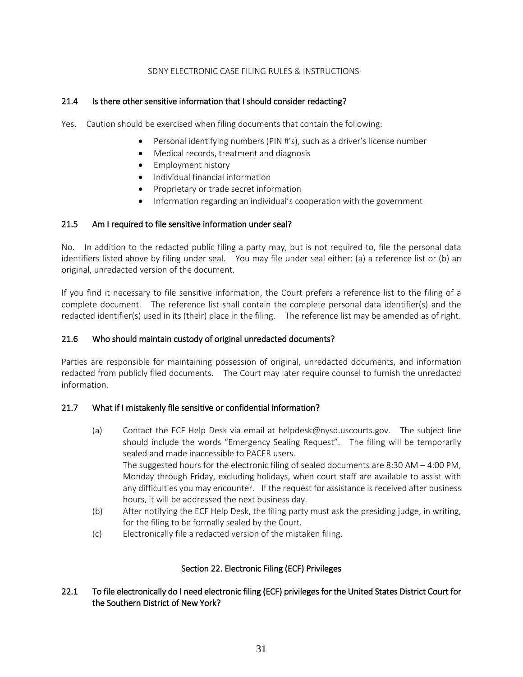# 21.4 Is there other sensitive information that I should consider redacting?

- Yes. Caution should be exercised when filing documents that contain the following:
	- Personal identifying numbers (PIN #'s), such as a driver's license number
	- Medical records, treatment and diagnosis
	- Employment history
	- Individual financial information
	- Proprietary or trade secret information
	- Information regarding an individual's cooperation with the government

#### 21.5 Am I required to file sensitive information under seal?

No. In addition to the redacted public filing a party may, but is not required to, file the personal data identifiers listed above by filing under seal. You may file under seal either: (a) a reference list or (b) an original, unredacted version of the document.

If you find it necessary to file sensitive information, the Court prefers a reference list to the filing of a complete document. The reference list shall contain the complete personal data identifier(s) and the redacted identifier(s) used in its (their) place in the filing. The reference list may be amended as of right.

#### 21.6 Who should maintain custody of original unredacted documents?

Parties are responsible for maintaining possession of original, unredacted documents, and information redacted from publicly filed documents. The Court may later require counsel to furnish the unredacted information.

#### 21.7 What if I mistakenly file sensitive or confidential information?

- (a) Contact the ECF Help Desk via email at helpdesk@nysd.uscourts.gov. The subject line should include the words "Emergency Sealing Request". The filing will be temporarily sealed and made inaccessible to PACER users. The suggested hours for the electronic filing of sealed documents are 8:30 AM – 4:00 PM, Monday through Friday, excluding holidays, when court staff are available to assist with any difficulties you may encounter. If the request for assistance is received after business hours, it will be addressed the next business day.
- (b) After notifying the ECF Help Desk, the filing party must ask the presiding judge, in writing, for the filing to be formally sealed by the Court.
- (c) Electronically file a redacted version of the mistaken filing.

# Section 22. Electronic Filing (ECF) Privileges

# <span id="page-30-0"></span>22.1 To file electronically do I need electronic filing (ECF) privileges for the United States District Court for the Southern District of New York?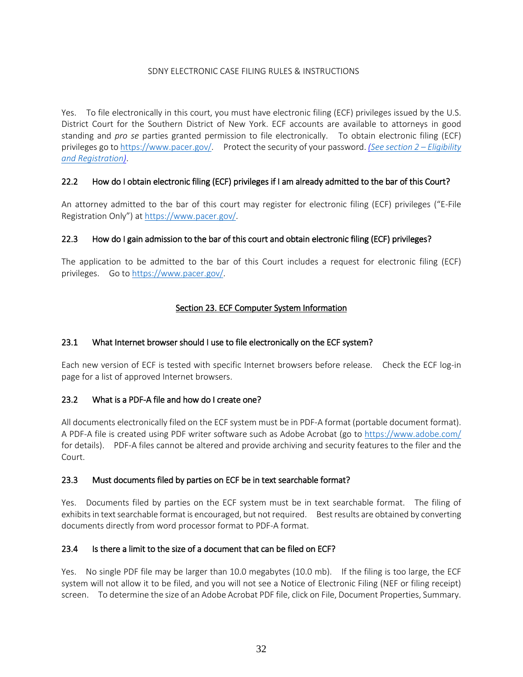Yes. To file electronically in this court, you must have electronic filing (ECF) privileges issued by the U.S. District Court for the Southern District of New York. ECF accounts are available to attorneys in good standing and *pro se* parties granted permission to file electronically. To obtain electronic filing (ECF) privileges go to [https://www.pacer.gov/.](https://www.pacer.gov/) Protect the security of your password. *(See section 2 – Eligibility and Registration)*.

# 22.2 How do I obtain electronic filing (ECF) privileges if I am already admitted to the bar of this Court?

An attorney admitted to the bar of this court may register for electronic filing (ECF) privileges ("E-File Registration Only") at [https://www.pacer.gov/.](https://www.pacer.gov/)

# 22.3 How do I gain admission to the bar of this court and obtain electronic filing (ECF) privileges?

The application to be admitted to the bar of this Court includes a request for electronic filing (ECF) privileges. Go to [https://www.pacer.gov/.](https://www.pacer.gov/)

# Section 23. ECF Computer System Information

# <span id="page-31-0"></span>23.1 What Internet browser should I use to file electronically on the ECF system?

Each new version of ECF is tested with specific Internet browsers before release. Check the ECF log-in page for a list of approved Internet browsers.

# 23.2 What is a PDF-A file and how do I create one?

All documents electronically filed on the ECF system must be in PDF-A format (portable document format). A PDF-A file is created using PDF writer software such as Adobe Acrobat (go to<https://www.adobe.com/> for details). PDF-A files cannot be altered and provide archiving and security features to the filer and the Court.

# 23.3 Must documents filed by parties on ECF be in text searchable format?

Yes. Documents filed by parties on the ECF system must be in text searchable format. The filing of exhibits in text searchable format is encouraged, but not required. Best results are obtained by converting documents directly from word processor format to PDF-A format.

# 23.4 Is there a limit to the size of a document that can be filed on ECF?

Yes. No single PDF file may be larger than 10.0 megabytes (10.0 mb). If the filing is too large, the ECF system will not allow it to be filed, and you will not see a Notice of Electronic Filing (NEF or filing receipt) screen. To determine the size of an Adobe Acrobat PDF file, click on File, Document Properties, Summary.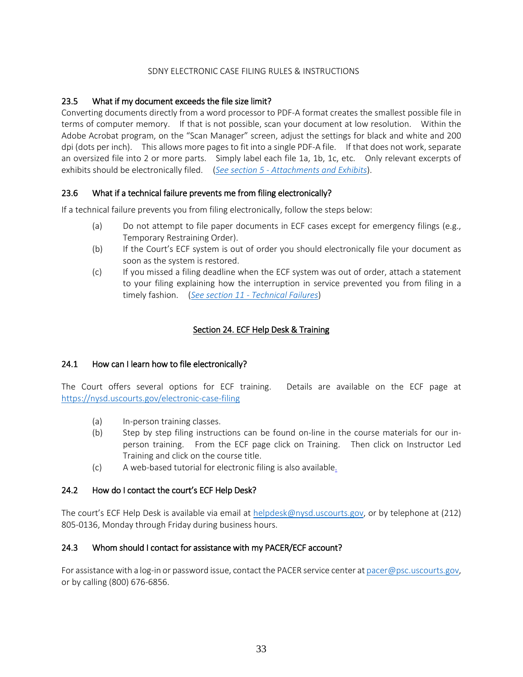# 23.5 What if my document exceeds the file size limit?

Converting documents directly from a word processor to PDF-A format creates the smallest possible file in terms of computer memory. If that is not possible, scan your document at low resolution. Within the Adobe Acrobat program, on the "Scan Manager" screen, adjust the settings for black and white and 200 dpi (dots per inch). This allows more pages to fit into a single PDF-A file. If that does not work, separate an oversized file into 2 or more parts. Simply label each file 1a, 1b, 1c, etc. Only relevant excerpts of exhibits should be electronically filed. (*See section 5 - [Attachments and Exhibits](#page-7-0)*).

# 23.6 What if a technical failure prevents me from filing electronically?

If a technical failure prevents you from filing electronically, follow the steps below:

- (a) Do not attempt to file paper documents in ECF cases except for emergency filings (e.g., Temporary Restraining Order).
- (b) If the Court's ECF system is out of order you should electronically file your document as soon as the system is restored.
- (c) If you missed a filing deadline when the ECF system was out of order, attach a statement to your filing explaining how the interruption in service prevented you from filing in a timely fashion. (*See section 11 - [Technical Failures](#page-12-1)*)

# Section 24. ECF Help Desk & Training

#### <span id="page-32-0"></span>24.1 How can I learn how to file electronically?

The Court offers several options for ECF training. Details are available on the ECF page at <https://nysd.uscourts.gov/electronic-case-filing>

- (a) In-person training classes.
- (b) Step by step filing instructions can be found on-line in the course materials for our inperson training. From the ECF page click on Training. Then click on Instructor Led Training and click on the course title.
- (c) A web-based tutorial for electronic filing is also available.

#### 24.2 How do I contact the court's ECF Help Desk?

The court's ECF Help Desk is available via email at [helpdesk@nysd.uscourts.gov,](mailto:helpdesk@nysd.uscourts.gov) or by telephone at (212) 805-0136, Monday through Friday during business hours.

#### 24.3 Whom should I contact for assistance with my PACER/ECF account?

For assistance with a log-in or password issue, contact the PACER service center a[t pacer@psc.uscourts.gov,](mailto:pacer@psc.uscourts.gov) or by calling (800) 676-6856.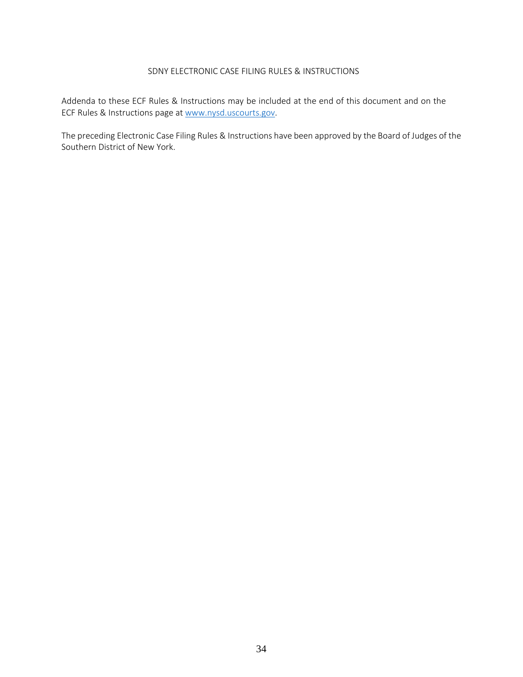Addenda to these ECF Rules & Instructions may be included at the end of this document and on the ECF Rules & Instructions page at [www.nysd.uscourts.gov.](http://www.nysd.uscourts.gov/)

The preceding Electronic Case Filing Rules & Instructions have been approved by the Board of Judges of the Southern District of New York.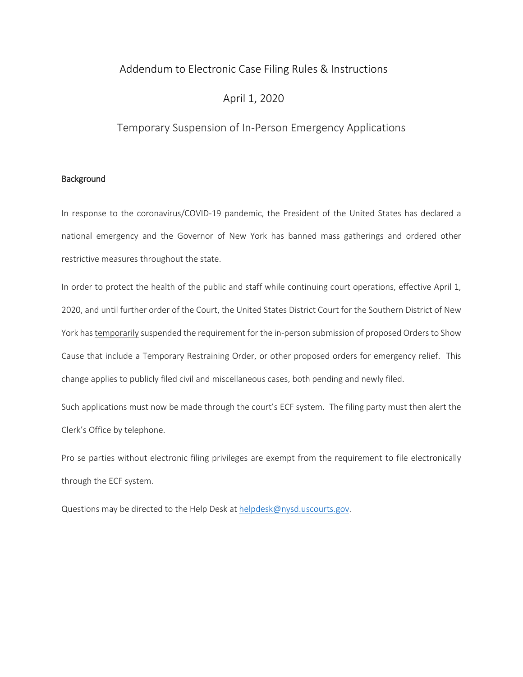# Addendum to Electronic Case Filing Rules & Instructions

# April 1, 2020

# Temporary Suspension of In-Person Emergency Applications

#### Background

In response to the coronavirus/COVID-19 pandemic, the President of the United States has declared a national emergency and the Governor of New York has banned mass gatherings and ordered other restrictive measures throughout the state.

In order to protect the health of the public and staff while continuing court operations, effective April 1, 2020, and until further order of the Court, the United States District Court for the Southern District of New York has temporarily suspended the requirement for the in-person submission of proposed Orders to Show Cause that include a Temporary Restraining Order, or other proposed orders for emergency relief. This change applies to publicly filed civil and miscellaneous cases, both pending and newly filed.

Such applications must now be made through the court's ECF system. The filing party must then alert the Clerk's Office by telephone.

Pro se parties without electronic filing privileges are exempt from the requirement to file electronically through the ECF system.

Questions may be directed to the Help Desk at [helpdesk@nysd.uscourts.gov.](mailto:helpdesk@nysd.uscourts.gov)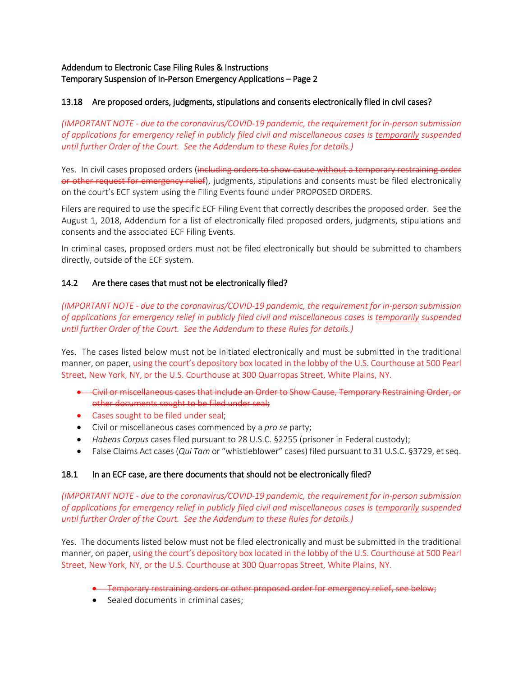## Addendum to Electronic Case Filing Rules & Instructions Temporary Suspension of In-Person Emergency Applications – Page 2

## 13.18 Are proposed orders, judgments, stipulations and consents electronically filed in civil cases?

*(IMPORTANT NOTE - due to the coronavirus/COVID-19 pandemic, the requirement for in-person submission of applications for emergency relief in publicly filed civil and miscellaneous cases is temporarily suspended until further Order of the Court. See the Addendum to these Rules for details.)*

Yes. In civil cases proposed orders (including orders to show cause without a temporary restraining order or other request for emergency relief), judgments, stipulations and consents must be filed electronically on the court's ECF system using the Filing Events found under PROPOSED ORDERS.

Filers are required to use the specific ECF Filing Event that correctly describes the proposed order. See the August 1, 2018, Addendum for a list of electronically filed proposed orders, judgments, stipulations and consents and the associated ECF Filing Events.

In criminal cases, proposed orders must not be filed electronically but should be submitted to chambers directly, outside of the ECF system.

#### 14.2 Are there cases that must not be electronically filed?

*(IMPORTANT NOTE - due to the coronavirus/COVID-19 pandemic, the requirement for in-person submission of applications for emergency relief in publicly filed civil and miscellaneous cases is temporarily suspended until further Order of the Court. See the Addendum to these Rules for details.)*

Yes. The cases listed below must not be initiated electronically and must be submitted in the traditional manner, on paper, using the court's depository box located in the lobby of the U.S. Courthouse at 500 Pearl Street, New York, NY, or the U.S. Courthouse at 300 Quarropas Street, White Plains, NY.

- Civil or miscellaneous cases that include an Order to Show Cause, Temporary Restraining Order, or other documents sought to be filed under seal;
- Cases sought to be filed under seal;
- Civil or miscellaneous cases commenced by a *pro se* party;
- *Habeas Corpus* cases filed pursuant to 28 U.S.C. §2255 (prisoner in Federal custody);
- False Claims Act cases (*Qui Tam* or "whistleblower" cases) filed pursuant to 31 U.S.C. §3729, et seq.

#### 18.1 In an ECF case, are there documents that should not be electronically filed?

*(IMPORTANT NOTE - due to the coronavirus/COVID-19 pandemic, the requirement for in-person submission of applications for emergency relief in publicly filed civil and miscellaneous cases is temporarily suspended until further Order of the Court. See the Addendum to these Rules for details.)*

Yes. The documents listed below must not be filed electronically and must be submitted in the traditional manner, on paper, using the court's depository box located in the lobby of the U.S. Courthouse at 500 Pearl Street, New York, NY, or the U.S. Courthouse at 300 Quarropas Street, White Plains, NY.

- Temporary restraining orders or other proposed order for emergency relief, see below;
- Sealed documents in criminal cases: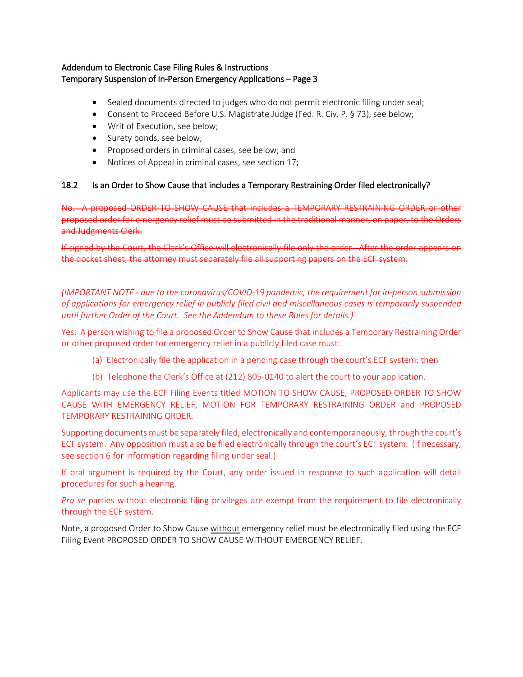## Addendum to Electronic Case Filing Rules & Instructions Temporary Suspension of In-Person Emergency Applications – Page 3

- Sealed documents directed to judges who do not permit electronic filing under seal;
- Consent to Proceed Before U.S. Magistrate Judge (Fed. R. Civ. P. § 73), see below;
- Writ of Execution, see below;
- Surety bonds, see below;
- Proposed orders in criminal cases, see below; and
- Notices of Appeal in criminal cases, see section 17;

#### 18.2 Is an Order to Show Cause that includes a Temporary Restraining Order filed electronically?

No. A proposed ORDER TO SHOW CAUSE that includes a TEMPORARY RESTRAINING ORDER or other proposed order for emergency relief must be submitted in the traditional manner, on paper, to the Orders and Judgments Clerk.

If signed by the Court, the Clerk's Office will electronically file only the order. After the order appears on the docket sheet, the attorney must separately file all supporting papers on the ECF system.

*(IMPORTANT NOTE - due to the coronavirus/COVID-19 pandemic, the requirement for in-person submission of applications for emergency relief in publicly filed civil and miscellaneous cases is temporarily suspended until further Order of the Court. See the Addendum to these Rules for details.)*

Yes. A person wishing to file a proposed Order to Show Cause that includes a Temporary Restraining Order or other proposed order for emergency relief in a publicly filed case must:

- (a) Electronically file the application in a pending case through the court's ECF system; then
- (b) Telephone the Clerk's Office at (212) 805-0140 to alert the court to your application.

Applicants may use the ECF Filing Events titled MOTION TO SHOW CAUSE, PROPOSED ORDER TO SHOW CAUSE WITH EMERGENCY RELIEF, MOTION FOR TEMPORARY RESTRAINING ORDER and PROPOSED TEMPORARY RESTRAINING ORDER.

Supporting documents must be separately filed, electronically and contemporaneously, through the court's ECF system. Any opposition must also be filed electronically through the court's ECF system. (If necessary, see section 6 for information regarding filing under seal.)

If oral argument is required by the Court, any order issued in response to such application will detail procedures for such a hearing.

*Pro se* parties without electronic filing privileges are exempt from the requirement to file electronically through the ECF system.

Note, a proposed Order to Show Cause without emergency relief must be electronically filed using the ECF Filing Event PROPOSED ORDER TO SHOW CAUSE WITHOUT EMERGENCY RELIEF.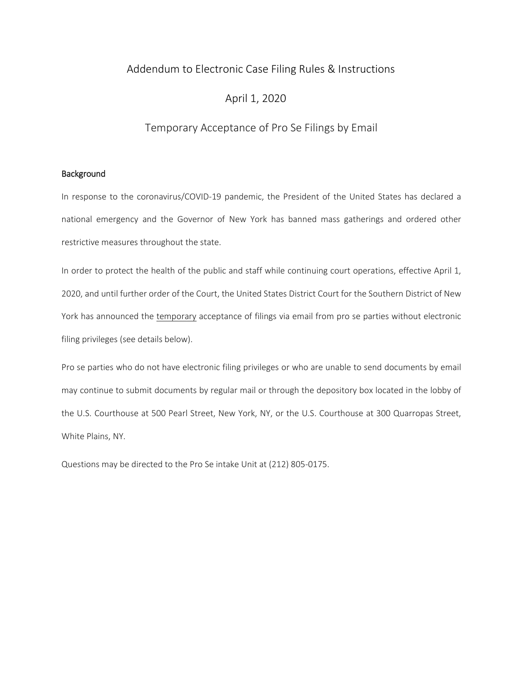# Addendum to Electronic Case Filing Rules & Instructions

# April 1, 2020

# Temporary Acceptance of Pro Se Filings by Email

#### Background

In response to the coronavirus/COVID-19 pandemic, the President of the United States has declared a national emergency and the Governor of New York has banned mass gatherings and ordered other restrictive measures throughout the state.

In order to protect the health of the public and staff while continuing court operations, effective April 1, 2020, and until further order of the Court, the United States District Court for the Southern District of New York has announced the temporary acceptance of filings via email from pro se parties without electronic filing privileges (see details below).

Pro se parties who do not have electronic filing privileges or who are unable to send documents by email may continue to submit documents by regular mail or through the depository box located in the lobby of the U.S. Courthouse at 500 Pearl Street, New York, NY, or the U.S. Courthouse at 300 Quarropas Street, White Plains, NY.

Questions may be directed to the Pro Se intake Unit at (212) 805-0175.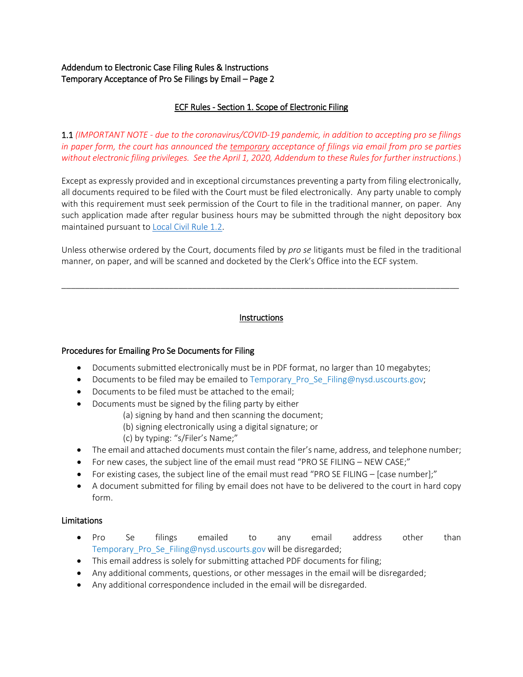# Addendum to Electronic Case Filing Rules & Instructions Temporary Acceptance of Pro Se Filings by Email – Page 2

## ECF Rules - Section 1. Scope of Electronic Filing

1.1 *(IMPORTANT NOTE - due to the coronavirus/COVID-19 pandemic, in addition to accepting pro se filings in paper form, the court has announced the temporary acceptance of filings via email from pro se parties without electronic filing privileges. See the April 1, 2020, Addendum to these Rules for further instructions*.)

Except as expressly provided and in exceptional circumstances preventing a party from filing electronically, all documents required to be filed with the Court must be filed electronically. Any party unable to comply with this requirement must seek permission of the Court to file in the traditional manner, on paper. Any such application made after regular business hours may be submitted through the night depository box maintained pursuant t[o Local Civil Rule 1.2.](https://nysd.uscourts.gov/rules.php)

Unless otherwise ordered by the Court, documents filed by *pro se* litigants must be filed in the traditional manner, on paper, and will be scanned and docketed by the Clerk's Office into the ECF system.

#### Instructions

\_\_\_\_\_\_\_\_\_\_\_\_\_\_\_\_\_\_\_\_\_\_\_\_\_\_\_\_\_\_\_\_\_\_\_\_\_\_\_\_\_\_\_\_\_\_\_\_\_\_\_\_\_\_\_\_\_\_\_\_\_\_\_\_\_\_\_\_\_\_\_\_\_\_\_\_\_\_\_\_\_\_\_\_\_

#### Procedures for Emailing Pro Se Documents for Filing

- Documents submitted electronically must be in PDF format, no larger than 10 megabytes;
- Documents to be filed may be emailed to Temporary\_Pro\_Se\_Filing@nysd.uscourts.gov;
- Documents to be filed must be attached to the email;
- Documents must be signed by the filing party by either
	- (a) signing by hand and then scanning the document;
	- (b) signing electronically using a digital signature; or
	- (c) by typing: "s/Filer's Name;"
- The email and attached documents must contain the filer's name, address, and telephone number;
- For new cases, the subject line of the email must read "PRO SE FILING NEW CASE;"
- For existing cases, the subject line of the email must read "PRO SE FILING [case number];"
- A document submitted for filing by email does not have to be delivered to the court in hard copy form.

#### Limitations

- Pro Se filings emailed to any email address other than Temporary\_Pro\_Se\_Filing@nysd.uscourts.gov will be disregarded;
- This email address is solely for submitting attached PDF documents for filing;
- Any additional comments, questions, or other messages in the email will be disregarded;
- Any additional correspondence included in the email will be disregarded.